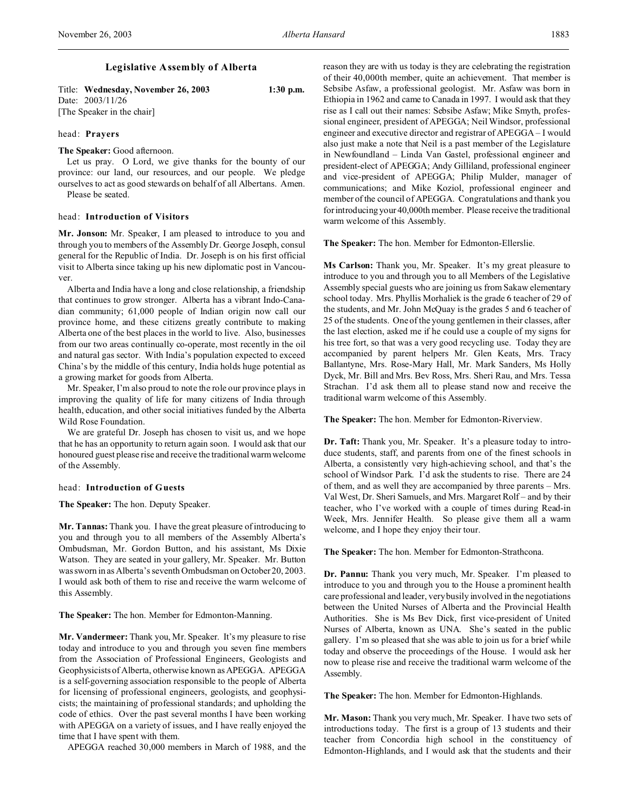Title: **Wednesday, November 26, 2003 1:30 p.m.** Date: 2003/11/26 [The Speaker in the chair]

## head: **Prayers**

**The Speaker:** Good afternoon.

Let us pray. O Lord, we give thanks for the bounty of our province: our land, our resources, and our people. We pledge ourselves to act as good stewards on behalf of all Albertans. Amen. Please be seated.

### head: **Introduction of Visitors**

**Mr. Jonson:** Mr. Speaker, I am pleased to introduce to you and through you to members of the Assembly Dr. George Joseph, consul general for the Republic of India. Dr. Joseph is on his first official visit to Alberta since taking up his new diplomatic post in Vancouver.

Alberta and India have a long and close relationship, a friendship that continues to grow stronger. Alberta has a vibrant Indo-Canadian community; 61,000 people of Indian origin now call our province home, and these citizens greatly contribute to making Alberta one of the best places in the world to live. Also, businesses from our two areas continually co-operate, most recently in the oil and natural gas sector. With India's population expected to exceed China's by the middle of this century, India holds huge potential as a growing market for goods from Alberta.

Mr. Speaker, I'm also proud to note the role our province plays in improving the quality of life for many citizens of India through health, education, and other social initiatives funded by the Alberta Wild Rose Foundation.

We are grateful Dr. Joseph has chosen to visit us, and we hope that he has an opportunity to return again soon. I would ask that our honoured guest please rise and receive the traditional warm welcome of the Assembly.

### head: **Introduction of Guests**

**The Speaker:** The hon. Deputy Speaker.

**Mr. Tannas:** Thank you. I have the great pleasure of introducing to you and through you to all members of the Assembly Alberta's Ombudsman, Mr. Gordon Button, and his assistant, Ms Dixie Watson. They are seated in your gallery, Mr. Speaker. Mr. Button was sworn in as Alberta's seventh Ombudsman on October 20, 2003. I would ask both of them to rise and receive the warm welcome of this Assembly.

**The Speaker:** The hon. Member for Edmonton-Manning.

**Mr. Vandermeer:** Thank you, Mr. Speaker. It's my pleasure to rise today and introduce to you and through you seven fine members from the Association of Professional Engineers, Geologists and Geophysicists of Alberta, otherwise known as APEGGA. APEGGA is a self-governing association responsible to the people of Alberta for licensing of professional engineers, geologists, and geophysicists; the maintaining of professional standards; and upholding the code of ethics. Over the past several months I have been working with APEGGA on a variety of issues, and I have really enjoyed the time that I have spent with them.

APEGGA reached 30,000 members in March of 1988, and the

reason they are with us today is they are celebrating the registration of their 40,000th member, quite an achievement. That member is Sebsibe Asfaw, a professional geologist. Mr. Asfaw was born in Ethiopia in 1962 and came to Canada in 1997. I would ask that they rise as I call out their names: Sebsibe Asfaw; Mike Smyth, professional engineer, president of APEGGA; Neil Windsor, professional engineer and executive director and registrar of APEGGA – I would also just make a note that Neil is a past member of the Legislature in Newfoundland – Linda Van Gastel, professional engineer and president-elect of APEGGA; Andy Gilliland, professional engineer and vice-president of APEGGA; Philip Mulder, manager of communications; and Mike Koziol, professional engineer and member of the council of APEGGA. Congratulations and thank you for introducing your 40,000th member. Please receive the traditional warm welcome of this Assembly.

**The Speaker:** The hon. Member for Edmonton-Ellerslie.

**Ms Carlson:** Thank you, Mr. Speaker. It's my great pleasure to introduce to you and through you to all Members of the Legislative Assembly special guests who are joining us from Sakaw elementary school today. Mrs. Phyllis Morhaliek is the grade 6 teacher of 29 of the students, and Mr. John McQuay is the grades 5 and 6 teacher of 25 of the students. One of the young gentlemen in their classes, after the last election, asked me if he could use a couple of my signs for his tree fort, so that was a very good recycling use. Today they are accompanied by parent helpers Mr. Glen Keats, Mrs. Tracy Ballantyne, Mrs. Rose-Mary Hall, Mr. Mark Sanders, Ms Holly Dyck, Mr. Bill and Mrs. Bev Ross, Mrs. Sheri Rau, and Mrs. Tessa Strachan. I'd ask them all to please stand now and receive the traditional warm welcome of this Assembly.

**The Speaker:** The hon. Member for Edmonton-Riverview.

**Dr. Taft:** Thank you, Mr. Speaker. It's a pleasure today to introduce students, staff, and parents from one of the finest schools in Alberta, a consistently very high-achieving school, and that's the school of Windsor Park. I'd ask the students to rise. There are 24 of them, and as well they are accompanied by three parents – Mrs. Val West, Dr. Sheri Samuels, and Mrs. Margaret Rolf – and by their teacher, who I've worked with a couple of times during Read-in Week, Mrs. Jennifer Health. So please give them all a warm welcome, and I hope they enjoy their tour.

**The Speaker:** The hon. Member for Edmonton-Strathcona.

**Dr. Pannu:** Thank you very much, Mr. Speaker. I'm pleased to introduce to you and through you to the House a prominent health care professional and leader, very busily involved in the negotiations between the United Nurses of Alberta and the Provincial Health Authorities. She is Ms Bev Dick, first vice-president of United Nurses of Alberta, known as UNA. She's seated in the public gallery. I'm so pleased that she was able to join us for a brief while today and observe the proceedings of the House. I would ask her now to please rise and receive the traditional warm welcome of the Assembly.

**The Speaker:** The hon. Member for Edmonton-Highlands.

**Mr. Mason:** Thank you very much, Mr. Speaker. I have two sets of introductions today. The first is a group of 13 students and their teacher from Concordia high school in the constituency of Edmonton-Highlands, and I would ask that the students and their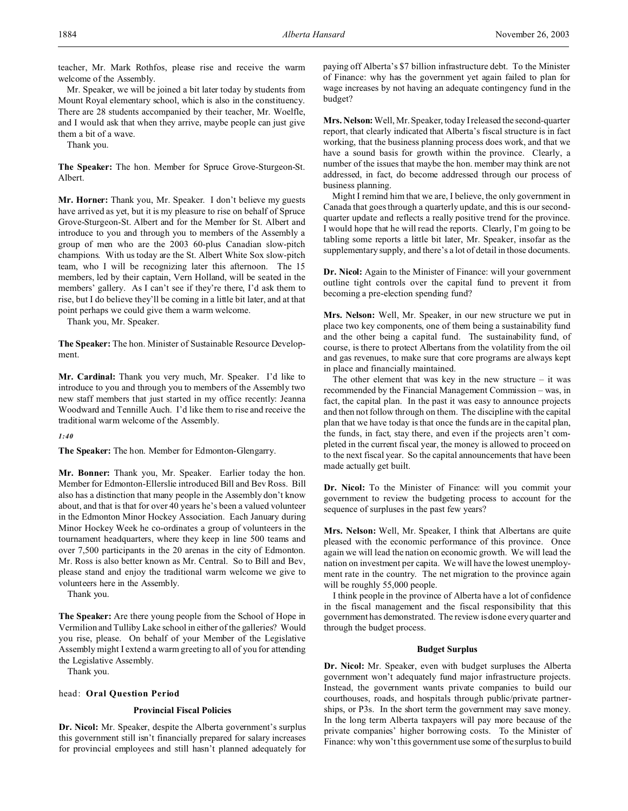teacher, Mr. Mark Rothfos, please rise and receive the warm welcome of the Assembly.

Mr. Speaker, we will be joined a bit later today by students from Mount Royal elementary school, which is also in the constituency. There are 28 students accompanied by their teacher, Mr. Woelfle, and I would ask that when they arrive, maybe people can just give them a bit of a wave.

Thank you.

**The Speaker:** The hon. Member for Spruce Grove-Sturgeon-St. Albert.

**Mr. Horner:** Thank you, Mr. Speaker. I don't believe my guests have arrived as yet, but it is my pleasure to rise on behalf of Spruce Grove-Sturgeon-St. Albert and for the Member for St. Albert and introduce to you and through you to members of the Assembly a group of men who are the 2003 60-plus Canadian slow-pitch champions. With us today are the St. Albert White Sox slow-pitch team, who I will be recognizing later this afternoon. The 15 members, led by their captain, Vern Holland, will be seated in the members' gallery. As I can't see if they're there, I'd ask them to rise, but I do believe they'll be coming in a little bit later, and at that point perhaps we could give them a warm welcome.

Thank you, Mr. Speaker.

**The Speaker:** The hon. Minister of Sustainable Resource Development.

**Mr. Cardinal:** Thank you very much, Mr. Speaker. I'd like to introduce to you and through you to members of the Assembly two new staff members that just started in my office recently: Jeanna Woodward and Tennille Auch. I'd like them to rise and receive the traditional warm welcome of the Assembly.

*1:40*

**The Speaker:** The hon. Member for Edmonton-Glengarry.

**Mr. Bonner:** Thank you, Mr. Speaker. Earlier today the hon. Member for Edmonton-Ellerslie introduced Bill and Bev Ross. Bill also has a distinction that many people in the Assembly don't know about, and that is that for over 40 years he's been a valued volunteer in the Edmonton Minor Hockey Association. Each January during Minor Hockey Week he co-ordinates a group of volunteers in the tournament headquarters, where they keep in line 500 teams and over 7,500 participants in the 20 arenas in the city of Edmonton. Mr. Ross is also better known as Mr. Central. So to Bill and Bev, please stand and enjoy the traditional warm welcome we give to volunteers here in the Assembly.

Thank you.

**The Speaker:** Are there young people from the School of Hope in Vermilion and Tulliby Lake school in either of the galleries? Would you rise, please. On behalf of your Member of the Legislative Assembly might I extend a warm greeting to all of you for attending the Legislative Assembly.

Thank you.

# head: **Oral Question Period**

# **Provincial Fiscal Policies**

**Dr. Nicol:** Mr. Speaker, despite the Alberta government's surplus this government still isn't financially prepared for salary increases for provincial employees and still hasn't planned adequately for paying off Alberta's \$7 billion infrastructure debt. To the Minister of Finance: why has the government yet again failed to plan for wage increases by not having an adequate contingency fund in the budget?

**Mrs. Nelson:** Well, Mr. Speaker, today I released the second-quarter report, that clearly indicated that Alberta's fiscal structure is in fact working, that the business planning process does work, and that we have a sound basis for growth within the province. Clearly, a number of the issues that maybe the hon. member may think are not addressed, in fact, do become addressed through our process of business planning.

Might I remind him that we are, I believe, the only government in Canada that goes through a quarterly update, and this is our secondquarter update and reflects a really positive trend for the province. I would hope that he will read the reports. Clearly, I'm going to be tabling some reports a little bit later, Mr. Speaker, insofar as the supplementary supply, and there's a lot of detail in those documents.

**Dr. Nicol:** Again to the Minister of Finance: will your government outline tight controls over the capital fund to prevent it from becoming a pre-election spending fund?

**Mrs. Nelson:** Well, Mr. Speaker, in our new structure we put in place two key components, one of them being a sustainability fund and the other being a capital fund. The sustainability fund, of course, is there to protect Albertans from the volatility from the oil and gas revenues, to make sure that core programs are always kept in place and financially maintained.

The other element that was key in the new structure  $-$  it was recommended by the Financial Management Commission – was, in fact, the capital plan. In the past it was easy to announce projects and then not follow through on them. The discipline with the capital plan that we have today is that once the funds are in the capital plan, the funds, in fact, stay there, and even if the projects aren't completed in the current fiscal year, the money is allowed to proceed on to the next fiscal year. So the capital announcements that have been made actually get built.

**Dr. Nicol:** To the Minister of Finance: will you commit your government to review the budgeting process to account for the sequence of surpluses in the past few years?

**Mrs. Nelson:** Well, Mr. Speaker, I think that Albertans are quite pleased with the economic performance of this province. Once again we will lead the nation on economic growth. We will lead the nation on investment per capita. We will have the lowest unemployment rate in the country. The net migration to the province again will be roughly 55,000 people.

I think people in the province of Alberta have a lot of confidence in the fiscal management and the fiscal responsibility that this government has demonstrated. The review is done every quarter and through the budget process.

### **Budget Surplus**

**Dr. Nicol:** Mr. Speaker, even with budget surpluses the Alberta government won't adequately fund major infrastructure projects. Instead, the government wants private companies to build our courthouses, roads, and hospitals through public/private partnerships, or P3s. In the short term the government may save money. In the long term Alberta taxpayers will pay more because of the private companies' higher borrowing costs. To the Minister of Finance: why won't this government use some of the surplus to build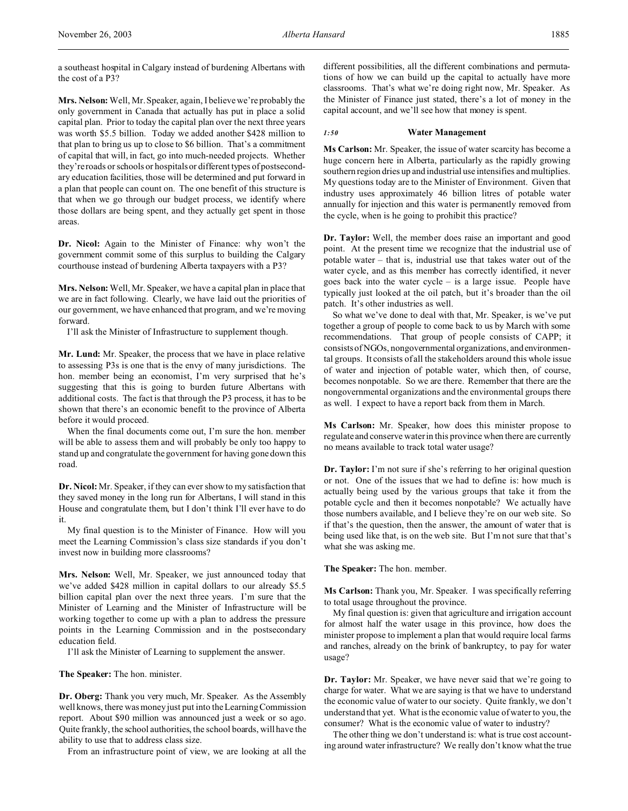a southeast hospital in Calgary instead of burdening Albertans with the cost of a P3?

**Mrs. Nelson:** Well, Mr. Speaker, again, I believe we're probably the only government in Canada that actually has put in place a solid capital plan. Prior to today the capital plan over the next three years was worth \$5.5 billion. Today we added another \$428 million to that plan to bring us up to close to \$6 billion. That's a commitment of capital that will, in fact, go into much-needed projects. Whether they're roads or schools or hospitals or different types of postsecondary education facilities, those will be determined and put forward in a plan that people can count on. The one benefit of this structure is that when we go through our budget process, we identify where those dollars are being spent, and they actually get spent in those areas.

**Dr. Nicol:** Again to the Minister of Finance: why won't the government commit some of this surplus to building the Calgary courthouse instead of burdening Alberta taxpayers with a P3?

**Mrs. Nelson:** Well, Mr. Speaker, we have a capital plan in place that we are in fact following. Clearly, we have laid out the priorities of our government, we have enhanced that program, and we're moving forward.

I'll ask the Minister of Infrastructure to supplement though.

**Mr. Lund:** Mr. Speaker, the process that we have in place relative to assessing P3s is one that is the envy of many jurisdictions. The hon. member being an economist, I'm very surprised that he's suggesting that this is going to burden future Albertans with additional costs. The fact is that through the P3 process, it has to be shown that there's an economic benefit to the province of Alberta before it would proceed.

When the final documents come out, I'm sure the hon. member will be able to assess them and will probably be only too happy to stand up and congratulate the government for having gone down this road.

**Dr. Nicol:** Mr. Speaker, if they can ever show to my satisfaction that they saved money in the long run for Albertans, I will stand in this House and congratulate them, but I don't think I'll ever have to do it.

My final question is to the Minister of Finance. How will you meet the Learning Commission's class size standards if you don't invest now in building more classrooms?

**Mrs. Nelson:** Well, Mr. Speaker, we just announced today that we've added \$428 million in capital dollars to our already \$5.5 billion capital plan over the next three years. I'm sure that the Minister of Learning and the Minister of Infrastructure will be working together to come up with a plan to address the pressure points in the Learning Commission and in the postsecondary education field.

I'll ask the Minister of Learning to supplement the answer.

**The Speaker:** The hon. minister.

**Dr. Oberg:** Thank you very much, Mr. Speaker. As the Assembly well knows, there was money just put into the Learning Commission report. About \$90 million was announced just a week or so ago. Quite frankly, the school authorities, the school boards, will have the ability to use that to address class size.

From an infrastructure point of view, we are looking at all the

different possibilities, all the different combinations and permutations of how we can build up the capital to actually have more classrooms. That's what we're doing right now, Mr. Speaker. As the Minister of Finance just stated, there's a lot of money in the capital account, and we'll see how that money is spent.

### *1:50* **Water Management**

**Ms Carlson:** Mr. Speaker, the issue of water scarcity has become a huge concern here in Alberta, particularly as the rapidly growing southern region dries up and industrial use intensifies and multiplies. My questions today are to the Minister of Environment. Given that industry uses approximately 46 billion litres of potable water annually for injection and this water is permanently removed from the cycle, when is he going to prohibit this practice?

**Dr. Taylor:** Well, the member does raise an important and good point. At the present time we recognize that the industrial use of potable water – that is, industrial use that takes water out of the water cycle, and as this member has correctly identified, it never goes back into the water cycle – is a large issue. People have typically just looked at the oil patch, but it's broader than the oil patch. It's other industries as well.

So what we've done to deal with that, Mr. Speaker, is we've put together a group of people to come back to us by March with some recommendations. That group of people consists of CAPP; it consists of NGOs, nongovernmental organizations, and environmental groups. It consists of all the stakeholders around this whole issue of water and injection of potable water, which then, of course, becomes nonpotable. So we are there. Remember that there are the nongovernmental organizations and the environmental groups there as well. I expect to have a report back from them in March.

**Ms Carlson:** Mr. Speaker, how does this minister propose to regulate and conserve water in this province when there are currently no means available to track total water usage?

**Dr. Taylor:** I'm not sure if she's referring to her original question or not. One of the issues that we had to define is: how much is actually being used by the various groups that take it from the potable cycle and then it becomes nonpotable? We actually have those numbers available, and I believe they're on our web site. So if that's the question, then the answer, the amount of water that is being used like that, is on the web site. But I'm not sure that that's what she was asking me.

**The Speaker:** The hon. member.

**Ms Carlson:** Thank you, Mr. Speaker. I was specifically referring to total usage throughout the province.

My final question is: given that agriculture and irrigation account for almost half the water usage in this province, how does the minister propose to implement a plan that would require local farms and ranches, already on the brink of bankruptcy, to pay for water usage?

**Dr. Taylor:** Mr. Speaker, we have never said that we're going to charge for water. What we are saying is that we have to understand the economic value of water to our society. Quite frankly, we don't understand that yet. What is the economic value of water to you, the consumer? What is the economic value of water to industry?

The other thing we don't understand is: what is true cost accounting around water infrastructure? We really don't know what the true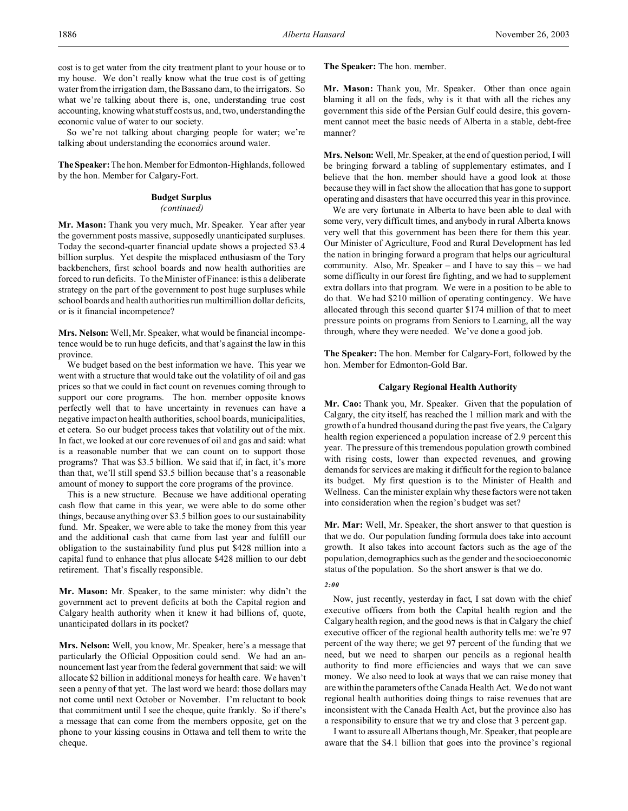cost is to get water from the city treatment plant to your house or to my house. We don't really know what the true cost is of getting water from the irrigation dam, the Bassano dam, to the irrigators. So what we're talking about there is, one, understanding true cost accounting, knowing what stuff costs us, and, two, understanding the economic value of water to our society.

So we're not talking about charging people for water; we're talking about understanding the economics around water.

**The Speaker:** The hon. Member for Edmonton-Highlands, followed by the hon. Member for Calgary-Fort.

# **Budget Surplus**

# *(continued)*

**Mr. Mason:** Thank you very much, Mr. Speaker. Year after year the government posts massive, supposedly unanticipated surpluses. Today the second-quarter financial update shows a projected \$3.4 billion surplus. Yet despite the misplaced enthusiasm of the Tory backbenchers, first school boards and now health authorities are forced to run deficits. To the Minister of Finance: is this a deliberate strategy on the part of the government to post huge surpluses while school boards and health authorities run multimillion dollar deficits, or is it financial incompetence?

**Mrs. Nelson:** Well, Mr. Speaker, what would be financial incompetence would be to run huge deficits, and that's against the law in this province.

We budget based on the best information we have. This year we went with a structure that would take out the volatility of oil and gas prices so that we could in fact count on revenues coming through to support our core programs. The hon. member opposite knows perfectly well that to have uncertainty in revenues can have a negative impact on health authorities, school boards, municipalities, et cetera. So our budget process takes that volatility out of the mix. In fact, we looked at our core revenues of oil and gas and said: what is a reasonable number that we can count on to support those programs? That was \$3.5 billion. We said that if, in fact, it's more than that, we'll still spend \$3.5 billion because that's a reasonable amount of money to support the core programs of the province.

This is a new structure. Because we have additional operating cash flow that came in this year, we were able to do some other things, because anything over \$3.5 billion goes to our sustainability fund. Mr. Speaker, we were able to take the money from this year and the additional cash that came from last year and fulfill our obligation to the sustainability fund plus put \$428 million into a capital fund to enhance that plus allocate \$428 million to our debt retirement. That's fiscally responsible.

**Mr. Mason:** Mr. Speaker, to the same minister: why didn't the government act to prevent deficits at both the Capital region and Calgary health authority when it knew it had billions of, quote, unanticipated dollars in its pocket?

**Mrs. Nelson:** Well, you know, Mr. Speaker, here's a message that particularly the Official Opposition could send. We had an announcement last year from the federal government that said: we will allocate \$2 billion in additional moneys for health care. We haven't seen a penny of that yet. The last word we heard: those dollars may not come until next October or November. I'm reluctant to book that commitment until I see the cheque, quite frankly. So if there's a message that can come from the members opposite, get on the phone to your kissing cousins in Ottawa and tell them to write the cheque.

**The Speaker:** The hon. member.

**Mr. Mason:** Thank you, Mr. Speaker. Other than once again blaming it all on the feds, why is it that with all the riches any government this side of the Persian Gulf could desire, this government cannot meet the basic needs of Alberta in a stable, debt-free manner?

**Mrs. Nelson:** Well, Mr. Speaker, at the end of question period, I will be bringing forward a tabling of supplementary estimates, and I believe that the hon. member should have a good look at those because they will in fact show the allocation that has gone to support operating and disasters that have occurred this year in this province.

We are very fortunate in Alberta to have been able to deal with some very, very difficult times, and anybody in rural Alberta knows very well that this government has been there for them this year. Our Minister of Agriculture, Food and Rural Development has led the nation in bringing forward a program that helps our agricultural community. Also, Mr. Speaker – and I have to say this – we had some difficulty in our forest fire fighting, and we had to supplement extra dollars into that program. We were in a position to be able to do that. We had \$210 million of operating contingency. We have allocated through this second quarter \$174 million of that to meet pressure points on programs from Seniors to Learning, all the way through, where they were needed. We've done a good job.

**The Speaker:** The hon. Member for Calgary-Fort, followed by the hon. Member for Edmonton-Gold Bar.

# **Calgary Regional Health Authority**

**Mr. Cao:** Thank you, Mr. Speaker. Given that the population of Calgary, the city itself, has reached the 1 million mark and with the growth of a hundred thousand during the past five years, the Calgary health region experienced a population increase of 2.9 percent this year. The pressure of this tremendous population growth combined with rising costs, lower than expected revenues, and growing demands for services are making it difficult for the region to balance its budget. My first question is to the Minister of Health and Wellness. Can the minister explain why these factors were not taken into consideration when the region's budget was set?

**Mr. Mar:** Well, Mr. Speaker, the short answer to that question is that we do. Our population funding formula does take into account growth. It also takes into account factors such as the age of the population, demographics such as the gender and the socioeconomic status of the population. So the short answer is that we do.

### *2:00*

Now, just recently, yesterday in fact, I sat down with the chief executive officers from both the Capital health region and the Calgary health region, and the good news is that in Calgary the chief executive officer of the regional health authority tells me: we're 97 percent of the way there; we get 97 percent of the funding that we need, but we need to sharpen our pencils as a regional health authority to find more efficiencies and ways that we can save money. We also need to look at ways that we can raise money that are within the parameters of the Canada Health Act. We do not want regional health authorities doing things to raise revenues that are inconsistent with the Canada Health Act, but the province also has a responsibility to ensure that we try and close that 3 percent gap.

I want to assure all Albertans though, Mr. Speaker, that people are aware that the \$4.1 billion that goes into the province's regional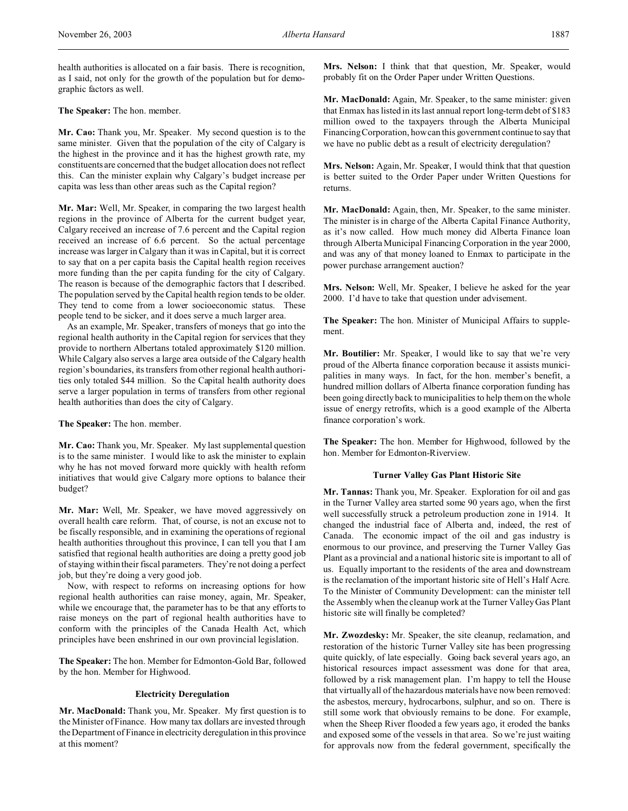health authorities is allocated on a fair basis. There is recognition, as I said, not only for the growth of the population but for demographic factors as well.

**The Speaker:** The hon. member.

**Mr. Cao:** Thank you, Mr. Speaker. My second question is to the same minister. Given that the population of the city of Calgary is the highest in the province and it has the highest growth rate, my constituents are concerned that the budget allocation does not reflect this. Can the minister explain why Calgary's budget increase per capita was less than other areas such as the Capital region?

**Mr. Mar:** Well, Mr. Speaker, in comparing the two largest health regions in the province of Alberta for the current budget year, Calgary received an increase of 7.6 percent and the Capital region received an increase of 6.6 percent. So the actual percentage increase was larger in Calgary than it was in Capital, but it is correct to say that on a per capita basis the Capital health region receives more funding than the per capita funding for the city of Calgary. The reason is because of the demographic factors that I described. The population served by the Capital health region tends to be older. They tend to come from a lower socioeconomic status. These people tend to be sicker, and it does serve a much larger area.

As an example, Mr. Speaker, transfers of moneys that go into the regional health authority in the Capital region for services that they provide to northern Albertans totaled approximately \$120 million. While Calgary also serves a large area outside of the Calgary health region's boundaries, its transfers from other regional health authorities only totaled \$44 million. So the Capital health authority does serve a larger population in terms of transfers from other regional health authorities than does the city of Calgary.

**The Speaker:** The hon. member.

**Mr. Cao:** Thank you, Mr. Speaker. My last supplemental question is to the same minister. I would like to ask the minister to explain why he has not moved forward more quickly with health reform initiatives that would give Calgary more options to balance their budget?

**Mr. Mar:** Well, Mr. Speaker, we have moved aggressively on overall health care reform. That, of course, is not an excuse not to be fiscally responsible, and in examining the operations of regional health authorities throughout this province, I can tell you that I am satisfied that regional health authorities are doing a pretty good job of staying within their fiscal parameters. They're not doing a perfect job, but they're doing a very good job.

Now, with respect to reforms on increasing options for how regional health authorities can raise money, again, Mr. Speaker, while we encourage that, the parameter has to be that any efforts to raise moneys on the part of regional health authorities have to conform with the principles of the Canada Health Act, which principles have been enshrined in our own provincial legislation.

**The Speaker:** The hon. Member for Edmonton-Gold Bar, followed by the hon. Member for Highwood.

# **Electricity Deregulation**

**Mr. MacDonald:** Thank you, Mr. Speaker. My first question is to the Minister of Finance. How many tax dollars are invested through the Department of Finance in electricity deregulation in this province at this moment?

**Mrs. Nelson:** I think that that question, Mr. Speaker, would probably fit on the Order Paper under Written Questions.

**Mr. MacDonald:** Again, Mr. Speaker, to the same minister: given that Enmax has listed in its last annual report long-term debt of \$183 million owed to the taxpayers through the Alberta Municipal Financing Corporation, how can this government continue to say that we have no public debt as a result of electricity deregulation?

**Mrs. Nelson:** Again, Mr. Speaker, I would think that that question is better suited to the Order Paper under Written Questions for returns.

**Mr. MacDonald:** Again, then, Mr. Speaker, to the same minister. The minister is in charge of the Alberta Capital Finance Authority, as it's now called. How much money did Alberta Finance loan through Alberta Municipal Financing Corporation in the year 2000, and was any of that money loaned to Enmax to participate in the power purchase arrangement auction?

**Mrs. Nelson:** Well, Mr. Speaker, I believe he asked for the year 2000. I'd have to take that question under advisement.

**The Speaker:** The hon. Minister of Municipal Affairs to supplement.

**Mr. Boutilier:** Mr. Speaker, I would like to say that we're very proud of the Alberta finance corporation because it assists municipalities in many ways. In fact, for the hon. member's benefit, a hundred million dollars of Alberta finance corporation funding has been going directly back to municipalities to help them on the whole issue of energy retrofits, which is a good example of the Alberta finance corporation's work.

**The Speaker:** The hon. Member for Highwood, followed by the hon. Member for Edmonton-Riverview.

### **Turner Valley Gas Plant Historic Site**

**Mr. Tannas:** Thank you, Mr. Speaker. Exploration for oil and gas in the Turner Valley area started some 90 years ago, when the first well successfully struck a petroleum production zone in 1914. It changed the industrial face of Alberta and, indeed, the rest of Canada. The economic impact of the oil and gas industry is enormous to our province, and preserving the Turner Valley Gas Plant as a provincial and a national historic site is important to all of us. Equally important to the residents of the area and downstream is the reclamation of the important historic site of Hell's Half Acre. To the Minister of Community Development: can the minister tell the Assembly when the cleanup work at the Turner Valley Gas Plant historic site will finally be completed?

**Mr. Zwozdesky:** Mr. Speaker, the site cleanup, reclamation, and restoration of the historic Turner Valley site has been progressing quite quickly, of late especially. Going back several years ago, an historical resources impact assessment was done for that area, followed by a risk management plan. I'm happy to tell the House that virtually all of the hazardous materials have now been removed: the asbestos, mercury, hydrocarbons, sulphur, and so on. There is still some work that obviously remains to be done. For example, when the Sheep River flooded a few years ago, it eroded the banks and exposed some of the vessels in that area. So we're just waiting for approvals now from the federal government, specifically the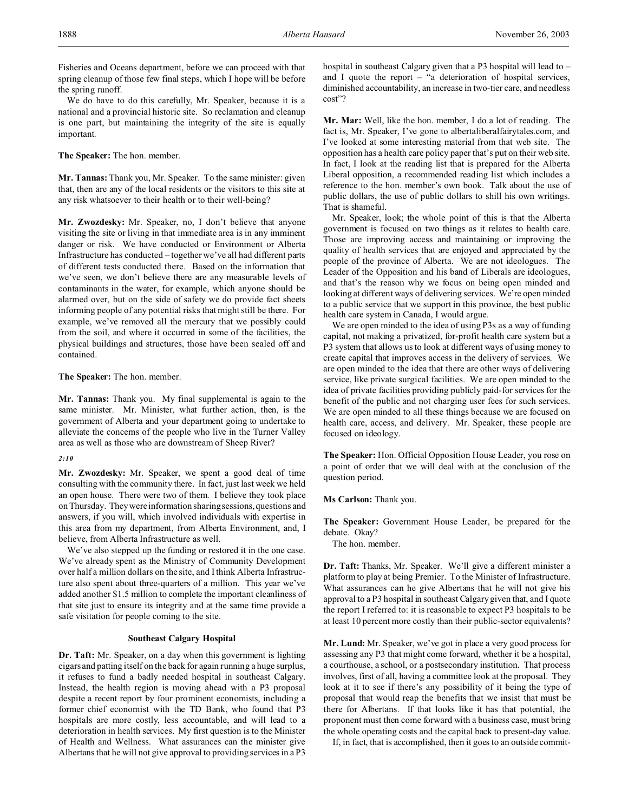We do have to do this carefully, Mr. Speaker, because it is a national and a provincial historic site. So reclamation and cleanup is one part, but maintaining the integrity of the site is equally important.

**The Speaker:** The hon. member.

**Mr. Tannas:** Thank you, Mr. Speaker. To the same minister: given that, then are any of the local residents or the visitors to this site at any risk whatsoever to their health or to their well-being?

**Mr. Zwozdesky:** Mr. Speaker, no, I don't believe that anyone visiting the site or living in that immediate area is in any imminent danger or risk. We have conducted or Environment or Alberta Infrastructure has conducted – together we've all had different parts of different tests conducted there. Based on the information that we've seen, we don't believe there are any measurable levels of contaminants in the water, for example, which anyone should be alarmed over, but on the side of safety we do provide fact sheets informing people of any potential risks that might still be there. For example, we've removed all the mercury that we possibly could from the soil, and where it occurred in some of the facilities, the physical buildings and structures, those have been sealed off and contained.

**The Speaker:** The hon. member.

**Mr. Tannas:** Thank you. My final supplemental is again to the same minister. Mr. Minister, what further action, then, is the government of Alberta and your department going to undertake to alleviate the concerns of the people who live in the Turner Valley area as well as those who are downstream of Sheep River?

# *2:10*

**Mr. Zwozdesky:** Mr. Speaker, we spent a good deal of time consulting with the community there. In fact, just last week we held an open house. There were two of them. I believe they took place on Thursday. They were information sharing sessions, questions and answers, if you will, which involved individuals with expertise in this area from my department, from Alberta Environment, and, I believe, from Alberta Infrastructure as well.

We've also stepped up the funding or restored it in the one case. We've already spent as the Ministry of Community Development over half a million dollars on the site, and I think Alberta Infrastructure also spent about three-quarters of a million. This year we've added another \$1.5 million to complete the important cleanliness of that site just to ensure its integrity and at the same time provide a safe visitation for people coming to the site.

# **Southeast Calgary Hospital**

**Dr. Taft:** Mr. Speaker, on a day when this government is lighting cigars and patting itself on the back for again running a huge surplus, it refuses to fund a badly needed hospital in southeast Calgary. Instead, the health region is moving ahead with a P3 proposal despite a recent report by four prominent economists, including a former chief economist with the TD Bank, who found that P3 hospitals are more costly, less accountable, and will lead to a deterioration in health services. My first question is to the Minister of Health and Wellness. What assurances can the minister give Albertans that he will not give approval to providing services in a P3 hospital in southeast Calgary given that a P3 hospital will lead to – and I quote the report – "a deterioration of hospital services, diminished accountability, an increase in two-tier care, and needless cost"?

**Mr. Mar:** Well, like the hon. member, I do a lot of reading. The fact is, Mr. Speaker, I've gone to albertaliberalfairytales.com, and I've looked at some interesting material from that web site. The opposition has a health care policy paper that's put on their web site. In fact, I look at the reading list that is prepared for the Alberta Liberal opposition, a recommended reading list which includes a reference to the hon. member's own book. Talk about the use of public dollars, the use of public dollars to shill his own writings. That is shameful.

Mr. Speaker, look; the whole point of this is that the Alberta government is focused on two things as it relates to health care. Those are improving access and maintaining or improving the quality of health services that are enjoyed and appreciated by the people of the province of Alberta. We are not ideologues. The Leader of the Opposition and his band of Liberals are ideologues, and that's the reason why we focus on being open minded and looking at different ways of delivering services. We're open minded to a public service that we support in this province, the best public health care system in Canada, I would argue.

We are open minded to the idea of using P3s as a way of funding capital, not making a privatized, for-profit health care system but a P3 system that allows us to look at different ways of using money to create capital that improves access in the delivery of services. We are open minded to the idea that there are other ways of delivering service, like private surgical facilities. We are open minded to the idea of private facilities providing publicly paid-for services for the benefit of the public and not charging user fees for such services. We are open minded to all these things because we are focused on health care, access, and delivery. Mr. Speaker, these people are focused on ideology.

**The Speaker:** Hon. Official Opposition House Leader, you rose on a point of order that we will deal with at the conclusion of the question period.

# **Ms Carlson:** Thank you.

**The Speaker:** Government House Leader, be prepared for the debate. Okay?

The hon. member.

**Dr. Taft:** Thanks, Mr. Speaker. We'll give a different minister a platform to play at being Premier. To the Minister of Infrastructure. What assurances can he give Albertans that he will not give his approval to a P3 hospital in southeast Calgary given that, and I quote the report I referred to: it is reasonable to expect P3 hospitals to be at least 10 percent more costly than their public-sector equivalents?

**Mr. Lund:** Mr. Speaker, we've got in place a very good process for assessing any P3 that might come forward, whether it be a hospital, a courthouse, a school, or a postsecondary institution. That process involves, first of all, having a committee look at the proposal. They look at it to see if there's any possibility of it being the type of proposal that would reap the benefits that we insist that must be there for Albertans. If that looks like it has that potential, the proponent must then come forward with a business case, must bring the whole operating costs and the capital back to present-day value.

If, in fact, that is accomplished, then it goes to an outside commit-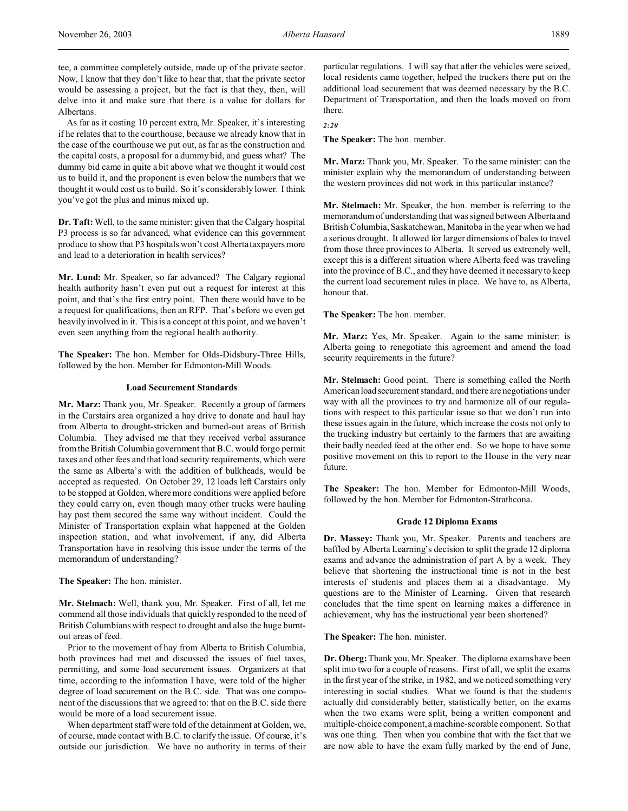tee, a committee completely outside, made up of the private sector. Now, I know that they don't like to hear that, that the private sector would be assessing a project, but the fact is that they, then, will delve into it and make sure that there is a value for dollars for Albertans.

As far as it costing 10 percent extra, Mr. Speaker, it's interesting if he relates that to the courthouse, because we already know that in the case of the courthouse we put out, as far as the construction and the capital costs, a proposal for a dummy bid, and guess what? The dummy bid came in quite a bit above what we thought it would cost us to build it, and the proponent is even below the numbers that we thought it would cost us to build. So it's considerably lower. I think you've got the plus and minus mixed up.

**Dr. Taft:** Well, to the same minister: given that the Calgary hospital P3 process is so far advanced, what evidence can this government produce to show that P3 hospitals won't cost Alberta taxpayers more and lead to a deterioration in health services?

**Mr. Lund:** Mr. Speaker, so far advanced? The Calgary regional health authority hasn't even put out a request for interest at this point, and that's the first entry point. Then there would have to be a request for qualifications, then an RFP. That's before we even get heavily involved in it. This is a concept at this point, and we haven't even seen anything from the regional health authority.

**The Speaker:** The hon. Member for Olds-Didsbury-Three Hills, followed by the hon. Member for Edmonton-Mill Woods.

#### **Load Securement Standards**

**Mr. Marz:** Thank you, Mr. Speaker. Recently a group of farmers in the Carstairs area organized a hay drive to donate and haul hay from Alberta to drought-stricken and burned-out areas of British Columbia. They advised me that they received verbal assurance from the British Columbia government that B.C. would forgo permit taxes and other fees and that load security requirements, which were the same as Alberta's with the addition of bulkheads, would be accepted as requested. On October 29, 12 loads left Carstairs only to be stopped at Golden, where more conditions were applied before they could carry on, even though many other trucks were hauling hay past them secured the same way without incident. Could the Minister of Transportation explain what happened at the Golden inspection station, and what involvement, if any, did Alberta Transportation have in resolving this issue under the terms of the memorandum of understanding?

**The Speaker:** The hon. minister.

**Mr. Stelmach:** Well, thank you, Mr. Speaker. First of all, let me commend all those individuals that quickly responded to the need of British Columbians with respect to drought and also the huge burntout areas of feed.

Prior to the movement of hay from Alberta to British Columbia, both provinces had met and discussed the issues of fuel taxes, permitting, and some load securement issues. Organizers at that time, according to the information I have, were told of the higher degree of load securement on the B.C. side. That was one component of the discussions that we agreed to: that on the B.C. side there would be more of a load securement issue.

When department staff were told of the detainment at Golden, we, of course, made contact with B.C. to clarify the issue. Of course, it's outside our jurisdiction. We have no authority in terms of their particular regulations. I will say that after the vehicles were seized, local residents came together, helped the truckers there put on the additional load securement that was deemed necessary by the B.C. Department of Transportation, and then the loads moved on from there.

*2:20*

**The Speaker:** The hon. member.

**Mr. Marz:** Thank you, Mr. Speaker. To the same minister: can the minister explain why the memorandum of understanding between the western provinces did not work in this particular instance?

**Mr. Stelmach:** Mr. Speaker, the hon. member is referring to the memorandum of understanding that was signed between Alberta and British Columbia, Saskatchewan, Manitoba in the year when we had a serious drought. It allowed for larger dimensions of bales to travel from those three provinces to Alberta. It served us extremely well, except this is a different situation where Alberta feed was traveling into the province of B.C., and they have deemed it necessary to keep the current load securement rules in place. We have to, as Alberta, honour that.

**The Speaker:** The hon. member.

**Mr. Marz:** Yes, Mr. Speaker. Again to the same minister: is Alberta going to renegotiate this agreement and amend the load security requirements in the future?

**Mr. Stelmach:** Good point. There is something called the North American load securement standard, and there are negotiations under way with all the provinces to try and harmonize all of our regulations with respect to this particular issue so that we don't run into these issues again in the future, which increase the costs not only to the trucking industry but certainly to the farmers that are awaiting their badly needed feed at the other end. So we hope to have some positive movement on this to report to the House in the very near future.

**The Speaker:** The hon. Member for Edmonton-Mill Woods, followed by the hon. Member for Edmonton-Strathcona.

### **Grade 12 Diploma Exams**

**Dr. Massey:** Thank you, Mr. Speaker. Parents and teachers are baffled by Alberta Learning's decision to split the grade 12 diploma exams and advance the administration of part A by a week. They believe that shortening the instructional time is not in the best interests of students and places them at a disadvantage. My questions are to the Minister of Learning. Given that research concludes that the time spent on learning makes a difference in achievement, why has the instructional year been shortened?

**The Speaker:** The hon. minister.

**Dr. Oberg:**Thank you, Mr. Speaker. The diploma exams have been split into two for a couple of reasons. First of all, we split the exams in the first year of the strike, in 1982, and we noticed something very interesting in social studies. What we found is that the students actually did considerably better, statistically better, on the exams when the two exams were split, being a written component and multiple-choice component, a machine-scorable component. So that was one thing. Then when you combine that with the fact that we are now able to have the exam fully marked by the end of June,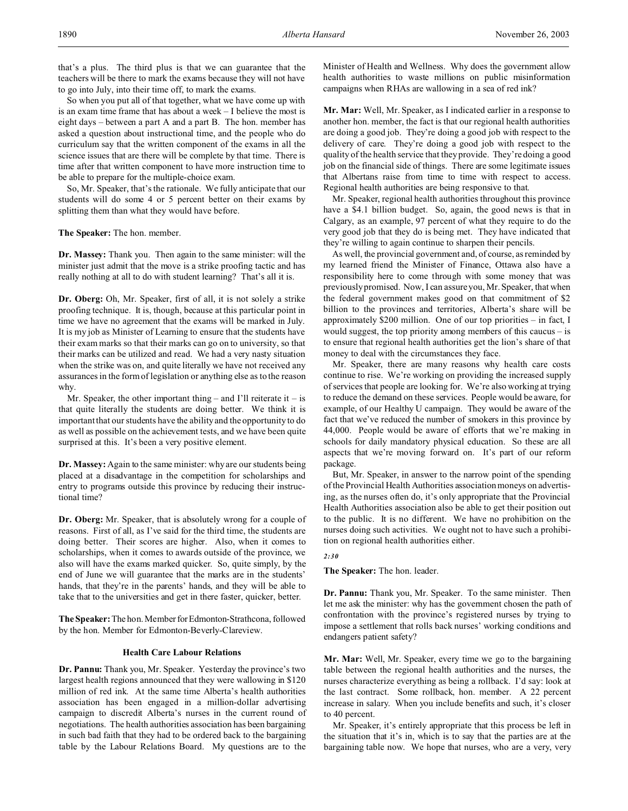that's a plus. The third plus is that we can guarantee that the teachers will be there to mark the exams because they will not have to go into July, into their time off, to mark the exams.

So when you put all of that together, what we have come up with is an exam time frame that has about a week – I believe the most is eight days – between a part A and a part B. The hon. member has asked a question about instructional time, and the people who do curriculum say that the written component of the exams in all the science issues that are there will be complete by that time. There is time after that written component to have more instruction time to be able to prepare for the multiple-choice exam.

So, Mr. Speaker, that's the rationale. We fully anticipate that our students will do some 4 or 5 percent better on their exams by splitting them than what they would have before.

**The Speaker:** The hon. member.

**Dr. Massey:** Thank you. Then again to the same minister: will the minister just admit that the move is a strike proofing tactic and has really nothing at all to do with student learning? That's all it is.

**Dr. Oberg:** Oh, Mr. Speaker, first of all, it is not solely a strike proofing technique. It is, though, because at this particular point in time we have no agreement that the exams will be marked in July. It is my job as Minister of Learning to ensure that the students have their exam marks so that their marks can go on to university, so that their marks can be utilized and read. We had a very nasty situation when the strike was on, and quite literally we have not received any assurances in the form of legislation or anything else as to the reason why.

Mr. Speaker, the other important thing – and I'll reiterate it – is that quite literally the students are doing better. We think it is important that our students have the ability and the opportunity to do as well as possible on the achievement tests, and we have been quite surprised at this. It's been a very positive element.

**Dr. Massey:** Again to the same minister: why are our students being placed at a disadvantage in the competition for scholarships and entry to programs outside this province by reducing their instructional time?

**Dr. Oberg:** Mr. Speaker, that is absolutely wrong for a couple of reasons. First of all, as I've said for the third time, the students are doing better. Their scores are higher. Also, when it comes to scholarships, when it comes to awards outside of the province, we also will have the exams marked quicker. So, quite simply, by the end of June we will guarantee that the marks are in the students' hands, that they're in the parents' hands, and they will be able to take that to the universities and get in there faster, quicker, better.

**The Speaker:** The hon. MemberforEdmonton-Strathcona, followed by the hon. Member for Edmonton-Beverly-Clareview.

# **Health Care Labour Relations**

**Dr. Pannu:** Thank you, Mr. Speaker. Yesterday the province's two largest health regions announced that they were wallowing in \$120 million of red ink. At the same time Alberta's health authorities association has been engaged in a million-dollar advertising campaign to discredit Alberta's nurses in the current round of negotiations. The health authorities association has been bargaining in such bad faith that they had to be ordered back to the bargaining table by the Labour Relations Board. My questions are to the Minister of Health and Wellness. Why does the government allow health authorities to waste millions on public misinformation campaigns when RHAs are wallowing in a sea of red ink?

**Mr. Mar:** Well, Mr. Speaker, as I indicated earlier in a response to another hon. member, the fact is that our regional health authorities are doing a good job. They're doing a good job with respect to the delivery of care. They're doing a good job with respect to the quality of the health service that they provide. They're doing a good job on the financial side of things. There are some legitimate issues that Albertans raise from time to time with respect to access. Regional health authorities are being responsive to that.

Mr. Speaker, regional health authorities throughout this province have a \$4.1 billion budget. So, again, the good news is that in Calgary, as an example, 97 percent of what they require to do the very good job that they do is being met. They have indicated that they're willing to again continue to sharpen their pencils.

As well, the provincial government and, of course, as reminded by my learned friend the Minister of Finance, Ottawa also have a responsibility here to come through with some money that was previously promised. Now, I can assure you, Mr. Speaker, that when the federal government makes good on that commitment of \$2 billion to the provinces and territories, Alberta's share will be approximately \$200 million. One of our top priorities – in fact, I would suggest, the top priority among members of this caucus – is to ensure that regional health authorities get the lion's share of that money to deal with the circumstances they face.

Mr. Speaker, there are many reasons why health care costs continue to rise. We're working on providing the increased supply of services that people are looking for. We're also working at trying to reduce the demand on these services. People would be aware, for example, of our Healthy U campaign. They would be aware of the fact that we've reduced the number of smokers in this province by 44,000. People would be aware of efforts that we're making in schools for daily mandatory physical education. So these are all aspects that we're moving forward on. It's part of our reform package.

But, Mr. Speaker, in answer to the narrow point of the spending of the Provincial Health Authorities association moneys on advertising, as the nurses often do, it's only appropriate that the Provincial Health Authorities association also be able to get their position out to the public. It is no different. We have no prohibition on the nurses doing such activities. We ought not to have such a prohibition on regional health authorities either.

# *2:30*

**The Speaker:** The hon. leader.

**Dr. Pannu:** Thank you, Mr. Speaker. To the same minister. Then let me ask the minister: why has the government chosen the path of confrontation with the province's registered nurses by trying to impose a settlement that rolls back nurses' working conditions and endangers patient safety?

**Mr. Mar:** Well, Mr. Speaker, every time we go to the bargaining table between the regional health authorities and the nurses, the nurses characterize everything as being a rollback. I'd say: look at the last contract. Some rollback, hon. member. A 22 percent increase in salary. When you include benefits and such, it's closer to 40 percent.

Mr. Speaker, it's entirely appropriate that this process be left in the situation that it's in, which is to say that the parties are at the bargaining table now. We hope that nurses, who are a very, very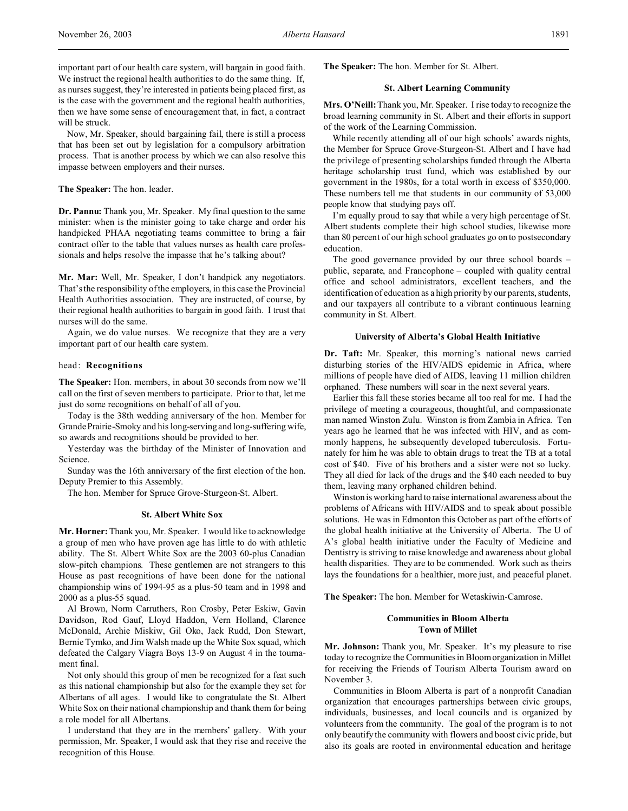important part of our health care system, will bargain in good faith. We instruct the regional health authorities to do the same thing. If, as nurses suggest, they're interested in patients being placed first, as is the case with the government and the regional health authorities, then we have some sense of encouragement that, in fact, a contract will be struck.

Now, Mr. Speaker, should bargaining fail, there is still a process that has been set out by legislation for a compulsory arbitration process. That is another process by which we can also resolve this impasse between employers and their nurses.

# **The Speaker:** The hon. leader.

**Dr. Pannu:** Thank you, Mr. Speaker. My final question to the same minister: when is the minister going to take charge and order his handpicked PHAA negotiating teams committee to bring a fair contract offer to the table that values nurses as health care professionals and helps resolve the impasse that he's talking about?

**Mr. Mar:** Well, Mr. Speaker, I don't handpick any negotiators. That's the responsibility of the employers, in this case the Provincial Health Authorities association. They are instructed, of course, by their regional health authorities to bargain in good faith. I trust that nurses will do the same.

Again, we do value nurses. We recognize that they are a very important part of our health care system.

# head: **Recognitions**

**The Speaker:** Hon. members, in about 30 seconds from now we'll call on the first of seven members to participate. Prior to that, let me just do some recognitions on behalf of all of you.

Today is the 38th wedding anniversary of the hon. Member for Grande Prairie-Smoky and his long-serving and long-suffering wife, so awards and recognitions should be provided to her.

Yesterday was the birthday of the Minister of Innovation and Science.

Sunday was the 16th anniversary of the first election of the hon. Deputy Premier to this Assembly.

The hon. Member for Spruce Grove-Sturgeon-St. Albert.

#### **St. Albert White Sox**

**Mr. Horner:**Thank you, Mr. Speaker. I would like to acknowledge a group of men who have proven age has little to do with athletic ability. The St. Albert White Sox are the 2003 60-plus Canadian slow-pitch champions. These gentlemen are not strangers to this House as past recognitions of have been done for the national championship wins of 1994-95 as a plus-50 team and in 1998 and 2000 as a plus-55 squad.

Al Brown, Norm Carruthers, Ron Crosby, Peter Eskiw, Gavin Davidson, Rod Gauf, Lloyd Haddon, Vern Holland, Clarence McDonald, Archie Miskiw, Gil Oko, Jack Rudd, Don Stewart, Bernie Tymko, and Jim Walsh made up the White Sox squad, which defeated the Calgary Viagra Boys 13-9 on August 4 in the tournament final.

Not only should this group of men be recognized for a feat such as this national championship but also for the example they set for Albertans of all ages. I would like to congratulate the St. Albert White Sox on their national championship and thank them for being a role model for all Albertans.

I understand that they are in the members' gallery. With your permission, Mr. Speaker, I would ask that they rise and receive the recognition of this House.

**The Speaker:** The hon. Member for St. Albert.

### **St. Albert Learning Community**

**Mrs. O'Neill:**Thank you, Mr. Speaker. I rise today to recognize the broad learning community in St. Albert and their efforts in support of the work of the Learning Commission.

While recently attending all of our high schools' awards nights, the Member for Spruce Grove-Sturgeon-St. Albert and I have had the privilege of presenting scholarships funded through the Alberta heritage scholarship trust fund, which was established by our government in the 1980s, for a total worth in excess of \$350,000. These numbers tell me that students in our community of 53,000 people know that studying pays off.

I'm equally proud to say that while a very high percentage of St. Albert students complete their high school studies, likewise more than 80 percent of our high school graduates go on to postsecondary education.

The good governance provided by our three school boards – public, separate, and Francophone – coupled with quality central office and school administrators, excellent teachers, and the identification of education as a high priority by our parents, students, and our taxpayers all contribute to a vibrant continuous learning community in St. Albert.

#### **University of Alberta's Global Health Initiative**

**Dr. Taft:** Mr. Speaker, this morning's national news carried disturbing stories of the HIV/AIDS epidemic in Africa, where millions of people have died of AIDS, leaving 11 million children orphaned. These numbers will soar in the next several years.

Earlier this fall these stories became all too real for me. I had the privilege of meeting a courageous, thoughtful, and compassionate man named Winston Zulu. Winston is from Zambia in Africa. Ten years ago he learned that he was infected with HIV, and as commonly happens, he subsequently developed tuberculosis. Fortunately for him he was able to obtain drugs to treat the TB at a total cost of \$40. Five of his brothers and a sister were not so lucky. They all died for lack of the drugs and the \$40 each needed to buy them, leaving many orphaned children behind.

Winston is working hard to raise international awareness about the problems of Africans with HIV/AIDS and to speak about possible solutions. He was in Edmonton this October as part of the efforts of the global health initiative at the University of Alberta. The U of A's global health initiative under the Faculty of Medicine and Dentistry is striving to raise knowledge and awareness about global health disparities. They are to be commended. Work such as theirs lays the foundations for a healthier, more just, and peaceful planet.

**The Speaker:** The hon. Member for Wetaskiwin-Camrose.

# **Communities in Bloom Alberta Town of Millet**

**Mr. Johnson:** Thank you, Mr. Speaker. It's my pleasure to rise today to recognize the Communities in Bloom organization in Millet for receiving the Friends of Tourism Alberta Tourism award on November 3.

Communities in Bloom Alberta is part of a nonprofit Canadian organization that encourages partnerships between civic groups, individuals, businesses, and local councils and is organized by volunteers from the community. The goal of the program is to not only beautify the community with flowers and boost civic pride, but also its goals are rooted in environmental education and heritage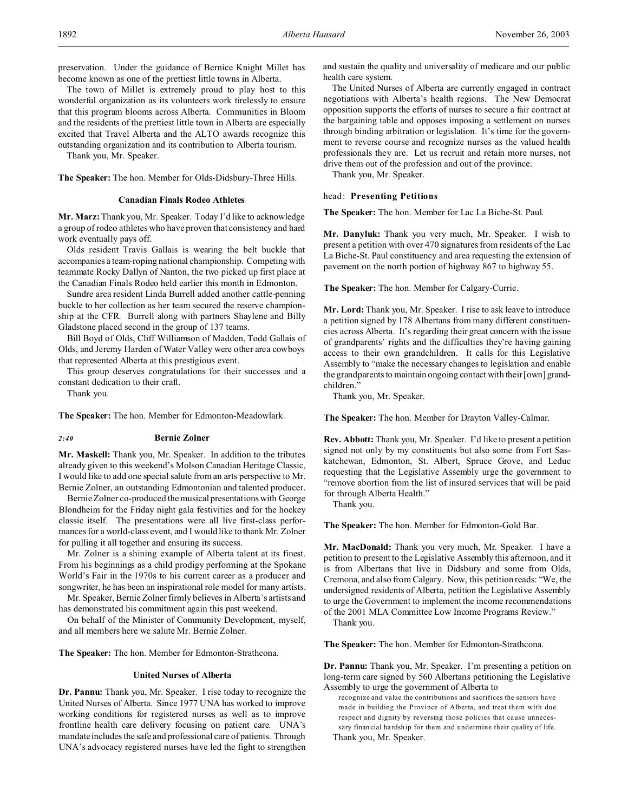preservation. Under the guidance of Bernice Knight Millet has become known as one of the prettiest little towns in Alberta.

The town of Millet is extremely proud to play host to this wonderful organization as its volunteers work tirelessly to ensure that this program blooms across Alberta. Communities in Bloom and the residents of the prettiest little town in Alberta are especially excited that Travel Alberta and the ALTO awards recognize this outstanding organization and its contribution to Alberta tourism.

Thank you, Mr. Speaker.

**The Speaker:** The hon. Member for Olds-Didsbury-Three Hills.

### **Canadian Finals Rodeo Athletes**

**Mr. Marz:** Thank you, Mr. Speaker. Today I'd like to acknowledge a group of rodeo athletes who have proven that consistency and hard work eventually pays off.

Olds resident Travis Gallais is wearing the belt buckle that accompanies a team-roping national championship. Competing with teammate Rocky Dallyn of Nanton, the two picked up first place at the Canadian Finals Rodeo held earlier this month in Edmonton.

Sundre area resident Linda Burrell added another cattle-penning buckle to her collection as her team secured the reserve championship at the CFR. Burrell along with partners Shaylene and Billy Gladstone placed second in the group of 137 teams.

Bill Boyd of Olds, Cliff Williamson of Madden, Todd Gallais of Olds, and Jeremy Harden of Water Valley were other area cowboys that represented Alberta at this prestigious event.

This group deserves congratulations for their successes and a constant dedication to their craft.

Thank you.

**The Speaker:** The hon. Member for Edmonton-Meadowlark.

## *2:40* **Bernie Zolner**

**Mr. Maskell:** Thank you, Mr. Speaker. In addition to the tributes already given to this weekend's Molson Canadian Heritage Classic, I would like to add one special salute from an arts perspective to Mr. Bernie Zolner, an outstanding Edmontonian and talented producer.

Bernie Zolner co-produced the musical presentations with George Blondheim for the Friday night gala festivities and for the hockey classic itself. The presentations were all live first-class performances for a world-class event, and I would like to thank Mr. Zolner for pulling it all together and ensuring its success.

Mr. Zolner is a shining example of Alberta talent at its finest. From his beginnings as a child prodigy performing at the Spokane World's Fair in the 1970s to his current career as a producer and songwriter, he has been an inspirational role model for many artists.

Mr. Speaker, Bernie Zolner firmly believes in Alberta's artists and has demonstrated his commitment again this past weekend.

On behalf of the Minister of Community Development, myself, and all members here we salute Mr. Bernie Zolner.

**The Speaker:** The hon. Member for Edmonton-Strathcona.

#### **United Nurses of Alberta**

**Dr. Pannu:** Thank you, Mr. Speaker. I rise today to recognize the United Nurses of Alberta. Since 1977 UNA has worked to improve working conditions for registered nurses as well as to improve frontline health care delivery focusing on patient care. UNA's mandate includes the safe and professional care of patients. Through UNA's advocacy registered nurses have led the fight to strengthen

and sustain the quality and universality of medicare and our public health care system.

The United Nurses of Alberta are currently engaged in contract negotiations with Alberta's health regions. The New Democrat opposition supports the efforts of nurses to secure a fair contract at the bargaining table and opposes imposing a settlement on nurses through binding arbitration or legislation. It's time for the government to reverse course and recognize nurses as the valued health professionals they are. Let us recruit and retain more nurses, not drive them out of the profession and out of the province.

Thank you, Mr. Speaker.

### head: **Presenting Petitions**

**The Speaker:** The hon. Member for Lac La Biche-St. Paul.

**Mr. Danyluk:** Thank you very much, Mr. Speaker. I wish to present a petition with over 470 signatures from residents of the Lac La Biche-St. Paul constituency and area requesting the extension of pavement on the north portion of highway 867 to highway 55.

**The Speaker:** The hon. Member for Calgary-Currie.

**Mr. Lord:** Thank you, Mr. Speaker. I rise to ask leave to introduce a petition signed by 178 Albertans from many different constituencies across Alberta. It's regarding their great concern with the issue of grandparents' rights and the difficulties they're having gaining access to their own grandchildren. It calls for this Legislative Assembly to "make the necessary changes to legislation and enable the grandparents to maintain ongoing contact with their [own] grandchildren."

Thank you, Mr. Speaker.

**The Speaker:** The hon. Member for Drayton Valley-Calmar.

**Rev. Abbott:** Thank you, Mr. Speaker. I'd like to present a petition signed not only by my constituents but also some from Fort Saskatchewan, Edmonton, St. Albert, Spruce Grove, and Leduc requesting that the Legislative Assembly urge the government to "remove abortion from the list of insured services that will be paid for through Alberta Health."

Thank you.

**The Speaker:** The hon. Member for Edmonton-Gold Bar.

**Mr. MacDonald:** Thank you very much, Mr. Speaker. I have a petition to present to the Legislative Assembly this afternoon, and it is from Albertans that live in Didsbury and some from Olds, Cremona, and also from Calgary. Now, this petition reads: "We, the undersigned residents of Alberta, petition the Legislative Assembly to urge the Government to implement the income recommendations of the 2001 MLA Committee Low Income Programs Review."

Thank you.

**The Speaker:** The hon. Member for Edmonton-Strathcona.

**Dr. Pannu:** Thank you, Mr. Speaker. I'm presenting a petition on long-term care signed by 560 Albertans petitioning the Legislative Assembly to urge the government of Alberta to

recognize and value the contributions and sacrifices the seniors have made in building the Province of Alberta, and treat them with due respect and dignity by reversing those policies that cause unnecessary financial hardship for them and undermine their quality of life. Thank you, Mr. Speaker.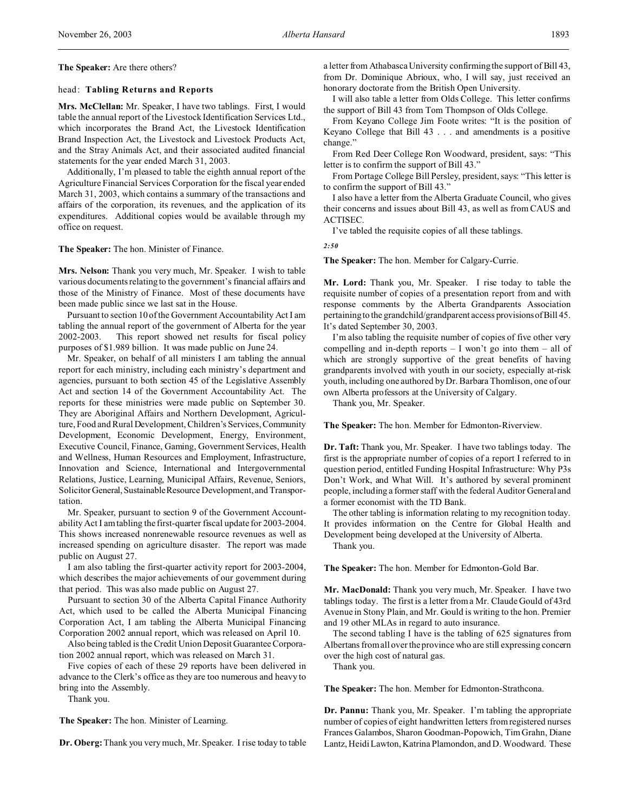**The Speaker:** Are there others?

# head: **Tabling Returns and Reports**

**Mrs. McClellan:** Mr. Speaker, I have two tablings. First, I would table the annual report of the Livestock Identification Services Ltd., which incorporates the Brand Act, the Livestock Identification Brand Inspection Act, the Livestock and Livestock Products Act, and the Stray Animals Act, and their associated audited financial statements for the year ended March 31, 2003.

Additionally, I'm pleased to table the eighth annual report of the Agriculture Financial Services Corporation for the fiscal year ended March 31, 2003, which contains a summary of the transactions and affairs of the corporation, its revenues, and the application of its expenditures. Additional copies would be available through my office on request.

**The Speaker:** The hon. Minister of Finance.

**Mrs. Nelson:** Thank you very much, Mr. Speaker. I wish to table various documents relating to the government's financial affairs and those of the Ministry of Finance. Most of these documents have been made public since we last sat in the House.

Pursuant to section 10 of the Government Accountability Act I am tabling the annual report of the government of Alberta for the year 2002-2003. This report showed net results for fiscal policy purposes of \$1.989 billion. It was made public on June 24.

Mr. Speaker, on behalf of all ministers I am tabling the annual report for each ministry, including each ministry's department and agencies, pursuant to both section 45 of the Legislative Assembly Act and section 14 of the Government Accountability Act. The reports for these ministries were made public on September 30. They are Aboriginal Affairs and Northern Development, Agriculture, Food and Rural Development, Children's Services, Community Development, Economic Development, Energy, Environment, Executive Council, Finance, Gaming, Government Services, Health and Wellness, Human Resources and Employment, Infrastructure, Innovation and Science, International and Intergovernmental Relations, Justice, Learning, Municipal Affairs, Revenue, Seniors, Solicitor General, Sustainable Resource Development, and Transportation.

Mr. Speaker, pursuant to section 9 of the Government Accountability Act I am tabling the first-quarter fiscal update for 2003-2004. This shows increased nonrenewable resource revenues as well as increased spending on agriculture disaster. The report was made public on August 27.

I am also tabling the first-quarter activity report for 2003-2004, which describes the major achievements of our government during that period. This was also made public on August 27.

Pursuant to section 30 of the Alberta Capital Finance Authority Act, which used to be called the Alberta Municipal Financing Corporation Act, I am tabling the Alberta Municipal Financing Corporation 2002 annual report, which was released on April 10.

Also being tabled is the Credit Union Deposit Guarantee Corporation 2002 annual report, which was released on March 31.

Five copies of each of these 29 reports have been delivered in advance to the Clerk's office as they are too numerous and heavy to bring into the Assembly.

Thank you.

**The Speaker:** The hon. Minister of Learning.

**Dr. Oberg:**Thank you very much, Mr. Speaker. I rise today to table

a letter from Athabasca University confirming the support of Bill 43, from Dr. Dominique Abrioux, who, I will say, just received an honorary doctorate from the British Open University.

I will also table a letter from Olds College. This letter confirms the support of Bill 43 from Tom Thompson of Olds College.

From Keyano College Jim Foote writes: "It is the position of Keyano College that Bill 43 . . . and amendments is a positive change."

From Red Deer College Ron Woodward, president, says: "This letter is to confirm the support of Bill 43."

From Portage College Bill Persley, president, says: "This letter is to confirm the support of Bill 43."

I also have a letter from the Alberta Graduate Council, who gives their concerns and issues about Bill 43, as well as from CAUS and ACTISEC.

I've tabled the requisite copies of all these tablings.

*2:50*

**The Speaker:** The hon. Member for Calgary-Currie.

**Mr. Lord:** Thank you, Mr. Speaker. I rise today to table the requisite number of copies of a presentation report from and with response comments by the Alberta Grandparents Association pertaining to the grandchild/grandparent access provisionsofBill 45. It's dated September 30, 2003.

I'm also tabling the requisite number of copies of five other very compelling and in-depth reports  $- I$  won't go into them  $-$  all of which are strongly supportive of the great benefits of having grandparents involved with youth in our society, especially at-risk youth, including one authored by Dr. Barbara Thomlison, one of our own Alberta professors at the University of Calgary.

Thank you, Mr. Speaker.

**The Speaker:** The hon. Member for Edmonton-Riverview.

**Dr. Taft:** Thank you, Mr. Speaker. I have two tablings today. The first is the appropriate number of copies of a report I referred to in question period, entitled Funding Hospital Infrastructure: Why P3s Don't Work, and What Will. It's authored by several prominent people, including a former staff with the federal Auditor General and a former economist with the TD Bank.

The other tabling is information relating to my recognition today. It provides information on the Centre for Global Health and Development being developed at the University of Alberta.

Thank you.

**The Speaker:** The hon. Member for Edmonton-Gold Bar.

**Mr. MacDonald:** Thank you very much, Mr. Speaker. I have two tablings today. The first is a letter from a Mr. Claude Gould of 43rd Avenue in Stony Plain, and Mr. Gould is writing to the hon. Premier and 19 other MLAs in regard to auto insurance.

The second tabling I have is the tabling of 625 signatures from Albertans from all over the province who are still expressing concern over the high cost of natural gas.

Thank you.

**The Speaker:** The hon. Member for Edmonton-Strathcona.

**Dr. Pannu:** Thank you, Mr. Speaker. I'm tabling the appropriate number of copies of eight handwritten letters from registered nurses Frances Galambos, Sharon Goodman-Popowich, Tim Grahn, Diane Lantz, Heidi Lawton, Katrina Plamondon, and D. Woodward. These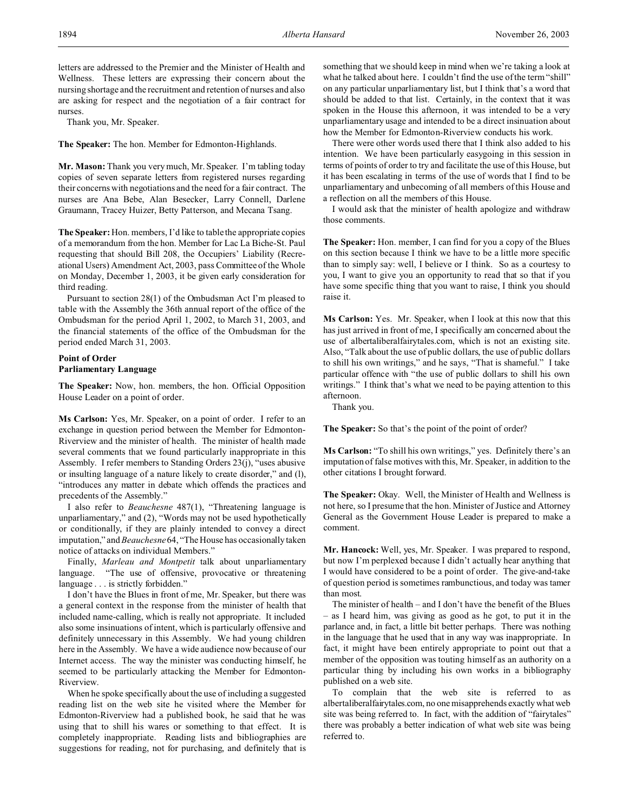letters are addressed to the Premier and the Minister of Health and Wellness. These letters are expressing their concern about the nursing shortage and the recruitment and retention of nurses and also are asking for respect and the negotiation of a fair contract for nurses.

Thank you, Mr. Speaker.

**The Speaker:** The hon. Member for Edmonton-Highlands.

**Mr. Mason:** Thank you very much, Mr. Speaker. I'm tabling today copies of seven separate letters from registered nurses regarding their concerns with negotiations and the need for a fair contract. The nurses are Ana Bebe, Alan Besecker, Larry Connell, Darlene Graumann, Tracey Huizer, Betty Patterson, and Mecana Tsang.

**The Speaker:** Hon. members, I'd like to table the appropriate copies of a memorandum from the hon. Member for Lac La Biche-St. Paul requesting that should Bill 208, the Occupiers' Liability (Recreational Users) Amendment Act, 2003, pass Committee of the Whole on Monday, December 1, 2003, it be given early consideration for third reading.

Pursuant to section 28(1) of the Ombudsman Act I'm pleased to table with the Assembly the 36th annual report of the office of the Ombudsman for the period April 1, 2002, to March 31, 2003, and the financial statements of the office of the Ombudsman for the period ended March 31, 2003.

# **Point of Order**

### **Parliamentary Language**

**The Speaker:** Now, hon. members, the hon. Official Opposition House Leader on a point of order.

**Ms Carlson:** Yes, Mr. Speaker, on a point of order. I refer to an exchange in question period between the Member for Edmonton-Riverview and the minister of health. The minister of health made several comments that we found particularly inappropriate in this Assembly. I refer members to Standing Orders 23(j), "uses abusive or insulting language of a nature likely to create disorder," and (l), "introduces any matter in debate which offends the practices and precedents of the Assembly."

I also refer to *Beauchesne* 487(1), "Threatening language is unparliamentary," and (2), "Words may not be used hypothetically or conditionally, if they are plainly intended to convey a direct imputation," and *Beauchesne* 64, "The House has occasionally taken notice of attacks on individual Members."

Finally, *Marleau and Montpetit* talk about unparliamentary language. "The use of offensive, provocative or threatening language . . . is strictly forbidden."

I don't have the Blues in front of me, Mr. Speaker, but there was a general context in the response from the minister of health that included name-calling, which is really not appropriate. It included also some insinuations of intent, which is particularly offensive and definitely unnecessary in this Assembly. We had young children here in the Assembly. We have a wide audience now because of our Internet access. The way the minister was conducting himself, he seemed to be particularly attacking the Member for Edmonton-Riverview.

When he spoke specifically about the use of including a suggested reading list on the web site he visited where the Member for Edmonton-Riverview had a published book, he said that he was using that to shill his wares or something to that effect. It is completely inappropriate. Reading lists and bibliographies are suggestions for reading, not for purchasing, and definitely that is

something that we should keep in mind when we're taking a look at what he talked about here. I couldn't find the use of the term "shill" on any particular unparliamentary list, but I think that's a word that should be added to that list. Certainly, in the context that it was spoken in the House this afternoon, it was intended to be a very unparliamentary usage and intended to be a direct insinuation about how the Member for Edmonton-Riverview conducts his work.

There were other words used there that I think also added to his intention. We have been particularly easygoing in this session in terms of points of order to try and facilitate the use of this House, but it has been escalating in terms of the use of words that I find to be unparliamentary and unbecoming of all members of this House and a reflection on all the members of this House.

I would ask that the minister of health apologize and withdraw those comments.

**The Speaker:** Hon. member, I can find for you a copy of the Blues on this section because I think we have to be a little more specific than to simply say: well, I believe or I think. So as a courtesy to you, I want to give you an opportunity to read that so that if you have some specific thing that you want to raise, I think you should raise it.

**Ms Carlson:** Yes. Mr. Speaker, when I look at this now that this has just arrived in front of me, I specifically am concerned about the use of albertaliberalfairytales.com, which is not an existing site. Also, "Talk about the use of public dollars, the use of public dollars to shill his own writings," and he says, "That is shameful." I take particular offence with "the use of public dollars to shill his own writings." I think that's what we need to be paying attention to this afternoon.

Thank you.

The Speaker: So that's the point of the point of order?

**Ms Carlson:** "To shill his own writings," yes. Definitely there's an imputation of false motives with this, Mr. Speaker, in addition to the other citations I brought forward.

The Speaker: Okay. Well, the Minister of Health and Wellness is not here, so I presume that the hon. Minister of Justice and Attorney General as the Government House Leader is prepared to make a comment.

**Mr. Hancock:** Well, yes, Mr. Speaker. I was prepared to respond, but now I'm perplexed because I didn't actually hear anything that I would have considered to be a point of order. The give-and-take of question period is sometimes rambunctious, and today was tamer than most.

The minister of health – and I don't have the benefit of the Blues – as I heard him, was giving as good as he got, to put it in the parlance and, in fact, a little bit better perhaps. There was nothing in the language that he used that in any way was inappropriate. In fact, it might have been entirely appropriate to point out that a member of the opposition was touting himself as an authority on a particular thing by including his own works in a bibliography published on a web site.

To complain that the web site is referred to as albertaliberalfairytales.com, no one misapprehends exactly what web site was being referred to. In fact, with the addition of "fairytales" there was probably a better indication of what web site was being referred to.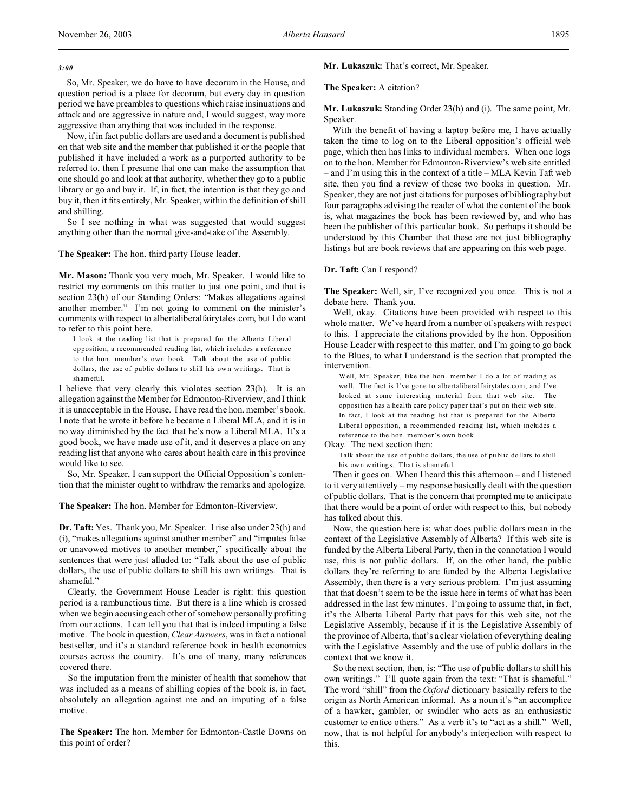So, Mr. Speaker, we do have to have decorum in the House, and question period is a place for decorum, but every day in question period we have preambles to questions which raise insinuations and attack and are aggressive in nature and, I would suggest, way more aggressive than anything that was included in the response.

Now, if in fact public dollars are used and a document is published on that web site and the member that published it or the people that published it have included a work as a purported authority to be referred to, then I presume that one can make the assumption that one should go and look at that authority, whether they go to a public library or go and buy it. If, in fact, the intention is that they go and buy it, then it fits entirely, Mr. Speaker, within the definition of shill and shilling.

So I see nothing in what was suggested that would suggest anything other than the normal give-and-take of the Assembly.

**The Speaker:** The hon. third party House leader.

**Mr. Mason:** Thank you very much, Mr. Speaker. I would like to restrict my comments on this matter to just one point, and that is section 23(h) of our Standing Orders: "Makes allegations against another member." I'm not going to comment on the minister's comments with respect to albertaliberalfairytales.com, but I do want to refer to this point here.

I look at the reading list that is prepared for the Alberta Liberal opposition, a recommended reading list, which includes a reference to the hon. member's own book. Talk about the use of public dollars, the use of public dollars to shill his own writings. That is sham efu l.

I believe that very clearly this violates section 23(h). It is an allegation against the Member for Edmonton-Riverview, and I think it is unacceptable in the House. I have read the hon. member's book. I note that he wrote it before he became a Liberal MLA, and it is in no way diminished by the fact that he's now a Liberal MLA. It's a good book, we have made use of it, and it deserves a place on any reading list that anyone who cares about health care in this province would like to see.

So, Mr. Speaker, I can support the Official Opposition's contention that the minister ought to withdraw the remarks and apologize.

**The Speaker:** The hon. Member for Edmonton-Riverview.

**Dr. Taft:** Yes. Thank you, Mr. Speaker. I rise also under 23(h) and (i), "makes allegations against another member" and "imputes false or unavowed motives to another member," specifically about the sentences that were just alluded to: "Talk about the use of public dollars, the use of public dollars to shill his own writings. That is shameful."

Clearly, the Government House Leader is right: this question period is a rambunctious time. But there is a line which is crossed when we begin accusing each other of somehow personally profiting from our actions. I can tell you that that is indeed imputing a false motive. The book in question, *Clear Answers*, was in fact a national bestseller, and it's a standard reference book in health economics courses across the country. It's one of many, many references covered there.

So the imputation from the minister of health that somehow that was included as a means of shilling copies of the book is, in fact, absolutely an allegation against me and an imputing of a false motive.

**The Speaker:** The hon. Member for Edmonton-Castle Downs on this point of order?

**Mr. Lukaszuk:** That's correct, Mr. Speaker.

#### **The Speaker:** A citation?

**Mr. Lukaszuk:** Standing Order 23(h) and (i). The same point, Mr. Speaker.

With the benefit of having a laptop before me, I have actually taken the time to log on to the Liberal opposition's official web page, which then has links to individual members. When one logs on to the hon. Member for Edmonton-Riverview's web site entitled – and I'm using this in the context of a title – MLA Kevin Taft web site, then you find a review of those two books in question. Mr. Speaker, they are not just citations for purposes of bibliography but four paragraphs advising the reader of what the content of the book is, what magazines the book has been reviewed by, and who has been the publisher of this particular book. So perhaps it should be understood by this Chamber that these are not just bibliography listings but are book reviews that are appearing on this web page.

#### **Dr. Taft:** Can I respond?

**The Speaker:** Well, sir, I've recognized you once. This is not a debate here. Thank you.

Well, okay. Citations have been provided with respect to this whole matter. We've heard from a number of speakers with respect to this. I appreciate the citations provided by the hon. Opposition House Leader with respect to this matter, and I'm going to go back to the Blues, to what I understand is the section that prompted the intervention.

Well, Mr. Speaker, like the hon. member I do a lot of reading as we ll. The fact is I've gone to albertaliberalfairytales.com, and I've looked at some interesting material from that web site. The opposition has a health care policy paper that's put on their web site. In fact, I look at the reading list that is prepared for the Alberta Liberal opposition, a recommended reading list, which includes a reference to the hon. member's own book.

#### Okay. The next section then:

Ta lk about the use of public dollars, the use of pu blic dollars to shill his own writings. That is sham efu l.

Then it goes on. When I heard this this afternoon – and I listened to it very attentively – my response basically dealt with the question of public dollars. That is the concern that prompted me to anticipate that there would be a point of order with respect to this, but nobody has talked about this.

Now, the question here is: what does public dollars mean in the context of the Legislative Assembly of Alberta? If this web site is funded by the Alberta Liberal Party, then in the connotation I would use, this is not public dollars. If, on the other hand, the public dollars they're referring to are funded by the Alberta Legislative Assembly, then there is a very serious problem. I'm just assuming that that doesn't seem to be the issue here in terms of what has been addressed in the last few minutes. I'm going to assume that, in fact, it's the Alberta Liberal Party that pays for this web site, not the Legislative Assembly, because if it is the Legislative Assembly of the province of Alberta, that's a clear violation of everything dealing with the Legislative Assembly and the use of public dollars in the context that we know it.

So the next section, then, is: "The use of public dollars to shill his own writings." I'll quote again from the text: "That is shameful." The word "shill" from the *Oxford* dictionary basically refers to the origin as North American informal. As a noun it's "an accomplice of a hawker, gambler, or swindler who acts as an enthusiastic customer to entice others." As a verb it's to "act as a shill." Well, now, that is not helpful for anybody's interjection with respect to this.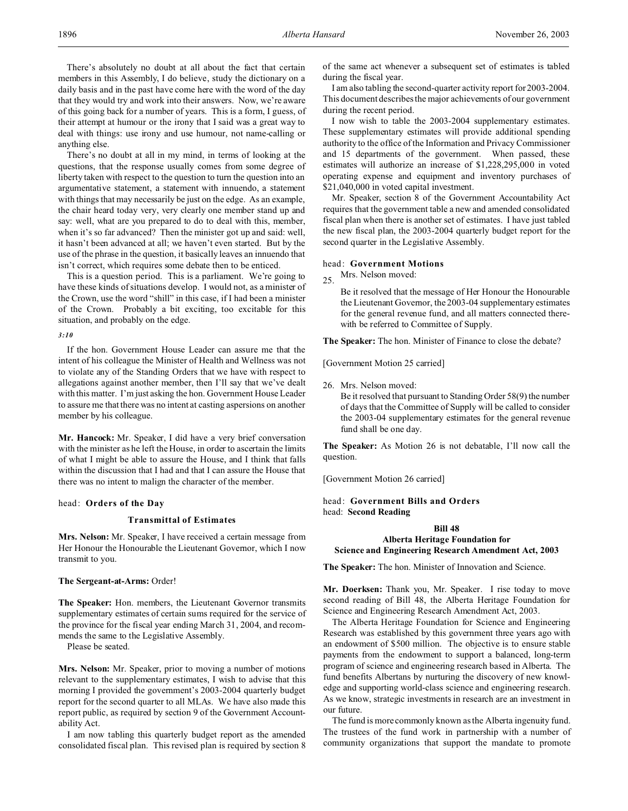There's absolutely no doubt at all about the fact that certain members in this Assembly, I do believe, study the dictionary on a daily basis and in the past have come here with the word of the day that they would try and work into their answers. Now, we're aware of this going back for a number of years. This is a form, I guess, of their attempt at humour or the irony that I said was a great way to deal with things: use irony and use humour, not name-calling or anything else.

There's no doubt at all in my mind, in terms of looking at the questions, that the response usually comes from some degree of liberty taken with respect to the question to turn the question into an argumentative statement, a statement with innuendo, a statement with things that may necessarily be just on the edge. As an example, the chair heard today very, very clearly one member stand up and say: well, what are you prepared to do to deal with this, member, when it's so far advanced? Then the minister got up and said: well, it hasn't been advanced at all; we haven't even started. But by the use of the phrase in the question, it basically leaves an innuendo that isn't correct, which requires some debate then to be enticed.

This is a question period. This is a parliament. We're going to have these kinds of situations develop. I would not, as a minister of the Crown, use the word "shill" in this case, if I had been a minister of the Crown. Probably a bit exciting, too excitable for this situation, and probably on the edge.

*3:10*

If the hon. Government House Leader can assure me that the intent of his colleague the Minister of Health and Wellness was not to violate any of the Standing Orders that we have with respect to allegations against another member, then I'll say that we've dealt with this matter. I'm just asking the hon. Government House Leader to assure me that there was no intent at casting aspersions on another member by his colleague.

**Mr. Hancock:** Mr. Speaker, I did have a very brief conversation with the minister as he left the House, in order to ascertain the limits of what I might be able to assure the House, and I think that falls within the discussion that I had and that I can assure the House that there was no intent to malign the character of the member.

#### head: **Orders of the Day**

# **Transmittal of Estimates**

**Mrs. Nelson:** Mr. Speaker, I have received a certain message from Her Honour the Honourable the Lieutenant Governor, which I now transmit to you.

# **The Sergeant-at-Arms:** Order!

**The Speaker:** Hon. members, the Lieutenant Governor transmits supplementary estimates of certain sums required for the service of the province for the fiscal year ending March 31, 2004, and recommends the same to the Legislative Assembly.

Please be seated.

**Mrs. Nelson:** Mr. Speaker, prior to moving a number of motions relevant to the supplementary estimates, I wish to advise that this morning I provided the government's 2003-2004 quarterly budget report for the second quarter to all MLAs. We have also made this report public, as required by section 9 of the Government Accountability Act.

I am now tabling this quarterly budget report as the amended consolidated fiscal plan. This revised plan is required by section 8 of the same act whenever a subsequent set of estimates is tabled during the fiscal year.

I am also tabling the second-quarter activity report for 2003-2004. This document describes the major achievements of our government during the recent period.

I now wish to table the 2003-2004 supplementary estimates. These supplementary estimates will provide additional spending authority to the office of the Information and Privacy Commissioner and 15 departments of the government. When passed, these estimates will authorize an increase of \$1,228,295,000 in voted operating expense and equipment and inventory purchases of \$21,040,000 in voted capital investment.

Mr. Speaker, section 8 of the Government Accountability Act requires that the government table a new and amended consolidated fiscal plan when there is another set of estimates. I have just tabled the new fiscal plan, the 2003-2004 quarterly budget report for the second quarter in the Legislative Assembly.

### head: **Government Motions**

25. Mrs. Nelson moved:

Be it resolved that the message of Her Honour the Honourable the Lieutenant Governor, the 2003-04 supplementary estimates for the general revenue fund, and all matters connected therewith be referred to Committee of Supply.

**The Speaker:** The hon. Minister of Finance to close the debate?

[Government Motion 25 carried]

26. Mrs. Nelson moved:

Be it resolved that pursuant to Standing Order 58(9) the number of days that the Committee of Supply will be called to consider the 2003-04 supplementary estimates for the general revenue fund shall be one day.

**The Speaker:** As Motion 26 is not debatable, I'll now call the question.

[Government Motion 26 carried]

# head: **Government Bills and Orders** head: **Second Reading**

#### **Bill 48**

**Alberta Heritage Foundation for Science and Engineering Research Amendment Act, 2003**

**The Speaker:** The hon. Minister of Innovation and Science.

**Mr. Doerksen:** Thank you, Mr. Speaker. I rise today to move second reading of Bill 48, the Alberta Heritage Foundation for Science and Engineering Research Amendment Act, 2003.

The Alberta Heritage Foundation for Science and Engineering Research was established by this government three years ago with an endowment of \$500 million. The objective is to ensure stable payments from the endowment to support a balanced, long-term program of science and engineering research based in Alberta. The fund benefits Albertans by nurturing the discovery of new knowledge and supporting world-class science and engineering research. As we know, strategic investments in research are an investment in our future.

The fund is more commonly known as the Alberta ingenuity fund. The trustees of the fund work in partnership with a number of community organizations that support the mandate to promote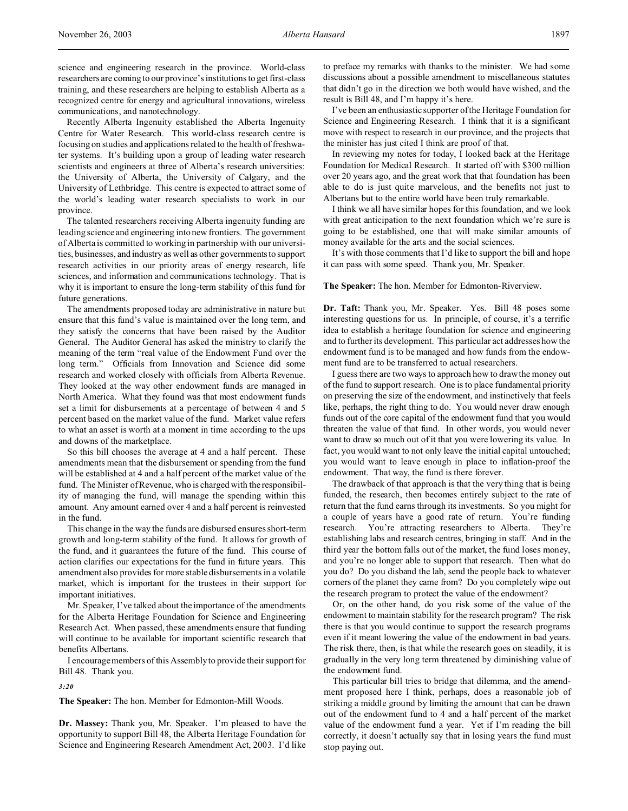science and engineering research in the province. World-class researchers are coming to our province's institutions to get first-class training, and these researchers are helping to establish Alberta as a recognized centre for energy and agricultural innovations, wireless communications, and nanotechnology.

Recently Alberta Ingenuity established the Alberta Ingenuity Centre for Water Research. This world-class research centre is focusing on studies and applications related to the health of freshwater systems. It's building upon a group of leading water research scientists and engineers at three of Alberta's research universities: the University of Alberta, the University of Calgary, and the University of Lethbridge. This centre is expected to attract some of the world's leading water research specialists to work in our province.

The talented researchers receiving Alberta ingenuity funding are leading science and engineering into new frontiers. The government of Alberta is committed to working in partnership with our universities, businesses, and industry as well as other governments to support research activities in our priority areas of energy research, life sciences, and information and communications technology. That is why it is important to ensure the long-term stability of this fund for future generations.

The amendments proposed today are administrative in nature but ensure that this fund's value is maintained over the long term, and they satisfy the concerns that have been raised by the Auditor General. The Auditor General has asked the ministry to clarify the meaning of the term "real value of the Endowment Fund over the long term." Officials from Innovation and Science did some research and worked closely with officials from Alberta Revenue. They looked at the way other endowment funds are managed in North America. What they found was that most endowment funds set a limit for disbursements at a percentage of between 4 and 5 percent based on the market value of the fund. Market value refers to what an asset is worth at a moment in time according to the ups and downs of the marketplace.

So this bill chooses the average at 4 and a half percent. These amendments mean that the disbursement or spending from the fund will be established at 4 and a half percent of the market value of the fund. The Minister of Revenue, who is charged with the responsibility of managing the fund, will manage the spending within this amount. Any amount earned over 4 and a half percent is reinvested in the fund.

This change in the way the funds are disbursed ensures short-term growth and long-term stability of the fund. It allows for growth of the fund, and it guarantees the future of the fund. This course of action clarifies our expectations for the fund in future years. This amendment also provides for more stable disbursements in a volatile market, which is important for the trustees in their support for important initiatives.

Mr. Speaker, I've talked about the importance of the amendments for the Alberta Heritage Foundation for Science and Engineering Research Act. When passed, these amendments ensure that funding will continue to be available for important scientific research that benefits Albertans.

I encourage members of this Assembly to provide their support for Bill 48. Thank you.

*3:20*

**The Speaker:** The hon. Member for Edmonton-Mill Woods.

**Dr. Massey:** Thank you, Mr. Speaker. I'm pleased to have the opportunity to support Bill 48, the Alberta Heritage Foundation for Science and Engineering Research Amendment Act, 2003. I'd like to preface my remarks with thanks to the minister. We had some discussions about a possible amendment to miscellaneous statutes that didn't go in the direction we both would have wished, and the result is Bill 48, and I'm happy it's here.

I've been an enthusiastic supporter of the Heritage Foundation for Science and Engineering Research. I think that it is a significant move with respect to research in our province, and the projects that the minister has just cited I think are proof of that.

In reviewing my notes for today, I looked back at the Heritage Foundation for Medical Research. It started off with \$300 million over 20 years ago, and the great work that that foundation has been able to do is just quite marvelous, and the benefits not just to Albertans but to the entire world have been truly remarkable.

I think we all have similar hopes for this foundation, and we look with great anticipation to the next foundation which we're sure is going to be established, one that will make similar amounts of money available for the arts and the social sciences.

It's with those comments that I'd like to support the bill and hope it can pass with some speed. Thank you, Mr. Speaker.

**The Speaker:** The hon. Member for Edmonton-Riverview.

**Dr. Taft:** Thank you, Mr. Speaker. Yes. Bill 48 poses some interesting questions for us. In principle, of course, it's a terrific idea to establish a heritage foundation for science and engineering and to further its development. This particular act addresses how the endowment fund is to be managed and how funds from the endowment fund are to be transferred to actual researchers.

I guess there are two ways to approach how to draw the money out of the fund to support research. One is to place fundamental priority on preserving the size of the endowment, and instinctively that feels like, perhaps, the right thing to do. You would never draw enough funds out of the core capital of the endowment fund that you would threaten the value of that fund. In other words, you would never want to draw so much out of it that you were lowering its value. In fact, you would want to not only leave the initial capital untouched; you would want to leave enough in place to inflation-proof the endowment. That way, the fund is there forever.

The drawback of that approach is that the very thing that is being funded, the research, then becomes entirely subject to the rate of return that the fund earns through its investments. So you might for a couple of years have a good rate of return. You're funding research. You're attracting researchers to Alberta. They're establishing labs and research centres, bringing in staff. And in the third year the bottom falls out of the market, the fund loses money, and you're no longer able to support that research. Then what do you do? Do you disband the lab, send the people back to whatever corners of the planet they came from? Do you completely wipe out the research program to protect the value of the endowment?

Or, on the other hand, do you risk some of the value of the endowment to maintain stability for the research program? The risk there is that you would continue to support the research programs even if it meant lowering the value of the endowment in bad years. The risk there, then, is that while the research goes on steadily, it is gradually in the very long term threatened by diminishing value of the endowment fund.

This particular bill tries to bridge that dilemma, and the amendment proposed here I think, perhaps, does a reasonable job of striking a middle ground by limiting the amount that can be drawn out of the endowment fund to 4 and a half percent of the market value of the endowment fund a year. Yet if I'm reading the bill correctly, it doesn't actually say that in losing years the fund must stop paying out.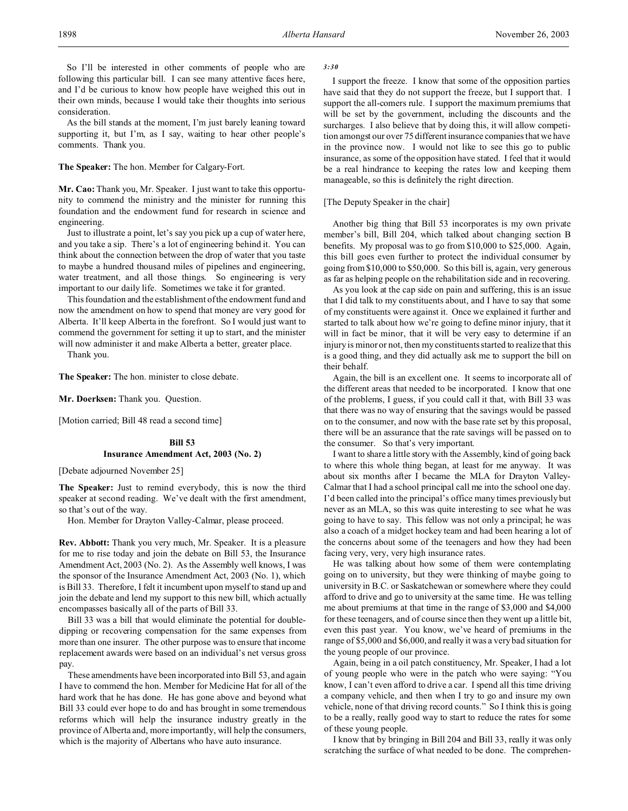So I'll be interested in other comments of people who are following this particular bill. I can see many attentive faces here, and I'd be curious to know how people have weighed this out in their own minds, because I would take their thoughts into serious consideration.

As the bill stands at the moment, I'm just barely leaning toward supporting it, but I'm, as I say, waiting to hear other people's comments. Thank you.

## **The Speaker:** The hon. Member for Calgary-Fort.

**Mr. Cao:** Thank you, Mr. Speaker. I just want to take this opportunity to commend the ministry and the minister for running this foundation and the endowment fund for research in science and engineering.

Just to illustrate a point, let's say you pick up a cup of water here, and you take a sip. There's a lot of engineering behind it. You can think about the connection between the drop of water that you taste to maybe a hundred thousand miles of pipelines and engineering, water treatment, and all those things. So engineering is very important to our daily life. Sometimes we take it for granted.

This foundation and the establishment of the endowment fund and now the amendment on how to spend that money are very good for Alberta. It'll keep Alberta in the forefront. So I would just want to commend the government for setting it up to start, and the minister will now administer it and make Alberta a better, greater place.

Thank you.

**The Speaker:** The hon. minister to close debate.

**Mr. Doerksen:** Thank you. Question.

[Motion carried; Bill 48 read a second time]

# **Bill 53 Insurance Amendment Act, 2003 (No. 2)**

[Debate adjourned November 25]

**The Speaker:** Just to remind everybody, this is now the third speaker at second reading. We've dealt with the first amendment, so that's out of the way.

Hon. Member for Drayton Valley-Calmar, please proceed.

**Rev. Abbott:** Thank you very much, Mr. Speaker. It is a pleasure for me to rise today and join the debate on Bill 53, the Insurance Amendment Act, 2003 (No. 2). As the Assembly well knows, I was the sponsor of the Insurance Amendment Act, 2003 (No. 1), which is Bill 33. Therefore, I felt it incumbent upon myself to stand up and join the debate and lend my support to this new bill, which actually encompasses basically all of the parts of Bill 33.

Bill 33 was a bill that would eliminate the potential for doubledipping or recovering compensation for the same expenses from more than one insurer. The other purpose was to ensure that income replacement awards were based on an individual's net versus gross pay.

These amendments have been incorporated into Bill 53, and again I have to commend the hon. Member for Medicine Hat for all of the hard work that he has done. He has gone above and beyond what Bill 33 could ever hope to do and has brought in some tremendous reforms which will help the insurance industry greatly in the province of Alberta and, more importantly, will help the consumers, which is the majority of Albertans who have auto insurance.

### *3:30*

I support the freeze. I know that some of the opposition parties have said that they do not support the freeze, but I support that. I support the all-comers rule. I support the maximum premiums that will be set by the government, including the discounts and the surcharges. I also believe that by doing this, it will allow competition amongst our over 75 different insurance companies that we have in the province now. I would not like to see this go to public insurance, as some of the opposition have stated. I feel that it would be a real hindrance to keeping the rates low and keeping them manageable, so this is definitely the right direction.

## [The Deputy Speaker in the chair]

Another big thing that Bill 53 incorporates is my own private member's bill, Bill 204, which talked about changing section B benefits. My proposal was to go from \$10,000 to \$25,000. Again, this bill goes even further to protect the individual consumer by going from \$10,000 to \$50,000. So this bill is, again, very generous as far as helping people on the rehabilitation side and in recovering.

As you look at the cap side on pain and suffering, this is an issue that I did talk to my constituents about, and I have to say that some of my constituents were against it. Once we explained it further and started to talk about how we're going to define minor injury, that it will in fact be minor, that it will be very easy to determine if an injury is minor or not, then my constituents started to realize that this is a good thing, and they did actually ask me to support the bill on their behalf.

Again, the bill is an excellent one. It seems to incorporate all of the different areas that needed to be incorporated. I know that one of the problems, I guess, if you could call it that, with Bill 33 was that there was no way of ensuring that the savings would be passed on to the consumer, and now with the base rate set by this proposal, there will be an assurance that the rate savings will be passed on to the consumer. So that's very important.

I want to share a little story with the Assembly, kind of going back to where this whole thing began, at least for me anyway. It was about six months after I became the MLA for Drayton Valley-Calmar that I had a school principal call me into the school one day. I'd been called into the principal's office many times previously but never as an MLA, so this was quite interesting to see what he was going to have to say. This fellow was not only a principal; he was also a coach of a midget hockey team and had been hearing a lot of the concerns about some of the teenagers and how they had been facing very, very, very high insurance rates.

He was talking about how some of them were contemplating going on to university, but they were thinking of maybe going to university in B.C. or Saskatchewan or somewhere where they could afford to drive and go to university at the same time. He was telling me about premiums at that time in the range of \$3,000 and \$4,000 for these teenagers, and of course since then they went up a little bit, even this past year. You know, we've heard of premiums in the range of \$5,000 and \$6,000, and really it was a very bad situation for the young people of our province.

Again, being in a oil patch constituency, Mr. Speaker, I had a lot of young people who were in the patch who were saying: "You know, I can't even afford to drive a car. I spend all this time driving a company vehicle, and then when I try to go and insure my own vehicle, none of that driving record counts." So I think this is going to be a really, really good way to start to reduce the rates for some of these young people.

I know that by bringing in Bill 204 and Bill 33, really it was only scratching the surface of what needed to be done. The comprehen-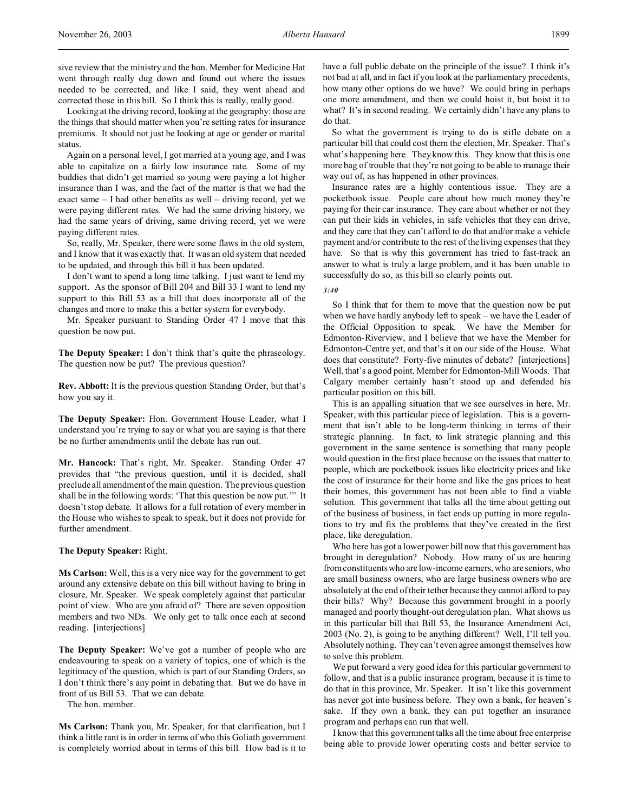Looking at the driving record, looking at the geography: those are the things that should matter when you're setting rates for insurance premiums. It should not just be looking at age or gender or marital status.

Again on a personal level, I got married at a young age, and I was able to capitalize on a fairly low insurance rate. Some of my buddies that didn't get married so young were paying a lot higher insurance than I was, and the fact of the matter is that we had the exact same – I had other benefits as well – driving record, yet we were paying different rates. We had the same driving history, we had the same years of driving, same driving record, yet we were paying different rates.

So, really, Mr. Speaker, there were some flaws in the old system, and I know that it was exactly that. It was an old system that needed to be updated, and through this bill it has been updated.

I don't want to spend a long time talking. I just want to lend my support. As the sponsor of Bill 204 and Bill 33 I want to lend my support to this Bill 53 as a bill that does incorporate all of the changes and more to make this a better system for everybody.

Mr. Speaker pursuant to Standing Order 47 I move that this question be now put.

**The Deputy Speaker:** I don't think that's quite the phraseology. The question now be put? The previous question?

**Rev. Abbott:** It is the previous question Standing Order, but that's how you say it.

**The Deputy Speaker:** Hon. Government House Leader, what I understand you're trying to say or what you are saying is that there be no further amendments until the debate has run out.

**Mr. Hancock:** That's right, Mr. Speaker. Standing Order 47 provides that "the previous question, until it is decided, shall preclude all amendment of the main question. The previous question shall be in the following words: 'That this question be now put.'" It doesn't stop debate. It allows for a full rotation of every member in the House who wishes to speak to speak, but it does not provide for further amendment.

**The Deputy Speaker:** Right.

**Ms Carlson:** Well, this is a very nice way for the government to get around any extensive debate on this bill without having to bring in closure, Mr. Speaker. We speak completely against that particular point of view. Who are you afraid of? There are seven opposition members and two NDs. We only get to talk once each at second reading. [interjections]

**The Deputy Speaker:** We've got a number of people who are endeavouring to speak on a variety of topics, one of which is the legitimacy of the question, which is part of our Standing Orders, so I don't think there's any point in debating that. But we do have in front of us Bill 53. That we can debate.

The hon. member.

**Ms Carlson:** Thank you, Mr. Speaker, for that clarification, but I think a little rant is in order in terms of who this Goliath government is completely worried about in terms of this bill. How bad is it to have a full public debate on the principle of the issue? I think it's not bad at all, and in fact if you look at the parliamentary precedents, how many other options do we have? We could bring in perhaps one more amendment, and then we could hoist it, but hoist it to what? It's in second reading. We certainly didn't have any plans to do that.

So what the government is trying to do is stifle debate on a particular bill that could cost them the election, Mr. Speaker. That's what's happening here. They know this. They know that this is one more bag of trouble that they're not going to be able to manage their way out of, as has happened in other provinces.

Insurance rates are a highly contentious issue. They are a pocketbook issue. People care about how much money they're paying for their car insurance. They care about whether or not they can put their kids in vehicles, in safe vehicles that they can drive, and they care that they can't afford to do that and/or make a vehicle payment and/or contribute to the rest of the living expenses that they have. So that is why this government has tried to fast-track an answer to what is truly a large problem, and it has been unable to successfully do so, as this bill so clearly points out.

*3:40*

So I think that for them to move that the question now be put when we have hardly anybody left to speak – we have the Leader of the Official Opposition to speak. We have the Member for Edmonton-Riverview, and I believe that we have the Member for Edmonton-Centre yet, and that's it on our side of the House. What does that constitute? Forty-five minutes of debate? [interjections] Well, that's a good point, Member for Edmonton-Mill Woods. That Calgary member certainly hasn't stood up and defended his particular position on this bill.

This is an appalling situation that we see ourselves in here, Mr. Speaker, with this particular piece of legislation. This is a government that isn't able to be long-term thinking in terms of their strategic planning. In fact, to link strategic planning and this government in the same sentence is something that many people would question in the first place because on the issues that matter to people, which are pocketbook issues like electricity prices and like the cost of insurance for their home and like the gas prices to heat their homes, this government has not been able to find a viable solution. This government that talks all the time about getting out of the business of business, in fact ends up putting in more regulations to try and fix the problems that they've created in the first place, like deregulation.

Who here has got a lower power bill now that this government has brought in deregulation? Nobody. How many of us are hearing from constituents who are low-income earners, who are seniors, who are small business owners, who are large business owners who are absolutely at the end of their tether because they cannot afford to pay their bills? Why? Because this government brought in a poorly managed and poorly thought-out deregulation plan. What shows us in this particular bill that Bill 53, the Insurance Amendment Act, 2003 (No. 2), is going to be anything different? Well, I'll tell you. Absolutely nothing. They can't even agree amongst themselves how to solve this problem.

We put forward a very good idea for this particular government to follow, and that is a public insurance program, because it is time to do that in this province, Mr. Speaker. It isn't like this government has never got into business before. They own a bank, for heaven's sake. If they own a bank, they can put together an insurance program and perhaps can run that well.

I know that this government talks all the time about free enterprise being able to provide lower operating costs and better service to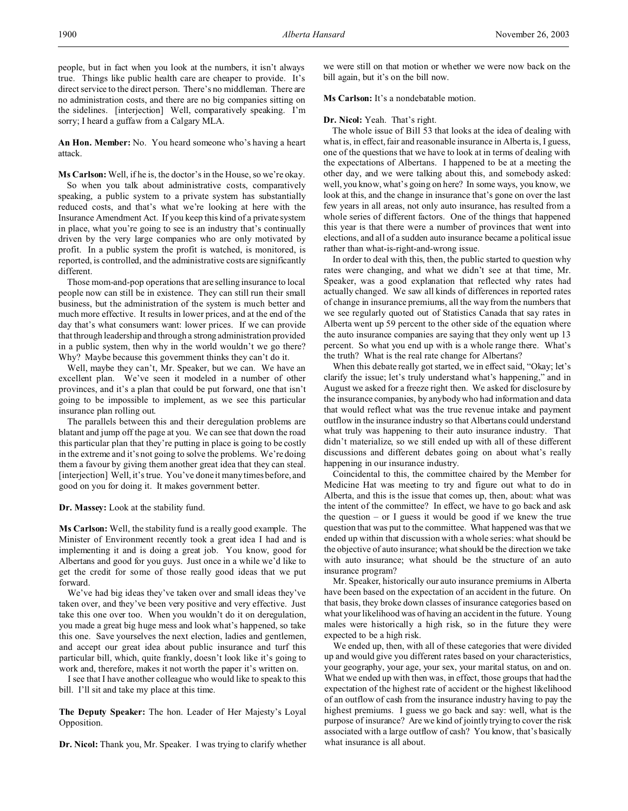**An Hon. Member:** No. You heard someone who's having a heart attack.

**Ms Carlson:** Well, if he is, the doctor's in the House, so we're okay. So when you talk about administrative costs, comparatively speaking, a public system to a private system has substantially reduced costs, and that's what we're looking at here with the Insurance Amendment Act. If you keep this kind of a private system in place, what you're going to see is an industry that's continually driven by the very large companies who are only motivated by profit. In a public system the profit is watched, is monitored, is reported, is controlled, and the administrative costs are significantly different.

Those mom-and-pop operations that are selling insurance to local people now can still be in existence. They can still run their small business, but the administration of the system is much better and much more effective. It results in lower prices, and at the end of the day that's what consumers want: lower prices. If we can provide that through leadership and through a strong administration provided in a public system, then why in the world wouldn't we go there? Why? Maybe because this government thinks they can't do it.

Well, maybe they can't, Mr. Speaker, but we can. We have an excellent plan. We've seen it modeled in a number of other provinces, and it's a plan that could be put forward, one that isn't going to be impossible to implement, as we see this particular insurance plan rolling out.

The parallels between this and their deregulation problems are blatant and jump off the page at you. We can see that down the road this particular plan that they're putting in place is going to be costly in the extreme and it's not going to solve the problems. We're doing them a favour by giving them another great idea that they can steal. [interjection] Well, it's true. You've done it many times before, and good on you for doing it. It makes government better.

**Dr. Massey:** Look at the stability fund.

**Ms Carlson:** Well, the stability fund is a really good example. The Minister of Environment recently took a great idea I had and is implementing it and is doing a great job. You know, good for Albertans and good for you guys. Just once in a while we'd like to get the credit for some of those really good ideas that we put forward.

We've had big ideas they've taken over and small ideas they've taken over, and they've been very positive and very effective. Just take this one over too. When you wouldn't do it on deregulation, you made a great big huge mess and look what's happened, so take this one. Save yourselves the next election, ladies and gentlemen, and accept our great idea about public insurance and turf this particular bill, which, quite frankly, doesn't look like it's going to work and, therefore, makes it not worth the paper it's written on.

I see that I have another colleague who would like to speak to this bill. I'll sit and take my place at this time.

**The Deputy Speaker:** The hon. Leader of Her Majesty's Loyal Opposition.

**Dr. Nicol:** Thank you, Mr. Speaker. I was trying to clarify whether

we were still on that motion or whether we were now back on the bill again, but it's on the bill now.

#### **Ms Carlson:** It's a nondebatable motion.

### **Dr. Nicol:** Yeah. That's right.

The whole issue of Bill 53 that looks at the idea of dealing with what is, in effect, fair and reasonable insurance in Alberta is, I guess, one of the questions that we have to look at in terms of dealing with the expectations of Albertans. I happened to be at a meeting the other day, and we were talking about this, and somebody asked: well, you know, what's going on here? In some ways, you know, we look at this, and the change in insurance that's gone on over the last few years in all areas, not only auto insurance, has resulted from a whole series of different factors. One of the things that happened this year is that there were a number of provinces that went into elections, and all of a sudden auto insurance became a political issue rather than what-is-right-and-wrong issue.

In order to deal with this, then, the public started to question why rates were changing, and what we didn't see at that time, Mr. Speaker, was a good explanation that reflected why rates had actually changed. We saw all kinds of differences in reported rates of change in insurance premiums, all the way from the numbers that we see regularly quoted out of Statistics Canada that say rates in Alberta went up 59 percent to the other side of the equation where the auto insurance companies are saying that they only went up 13 percent. So what you end up with is a whole range there. What's the truth? What is the real rate change for Albertans?

When this debate really got started, we in effect said, "Okay; let's clarify the issue; let's truly understand what's happening," and in August we asked for a freeze right then. We asked for disclosure by the insurance companies, by anybody who had information and data that would reflect what was the true revenue intake and payment outflow in the insurance industry so that Albertans could understand what truly was happening to their auto insurance industry. That didn't materialize, so we still ended up with all of these different discussions and different debates going on about what's really happening in our insurance industry.

Coincidental to this, the committee chaired by the Member for Medicine Hat was meeting to try and figure out what to do in Alberta, and this is the issue that comes up, then, about: what was the intent of the committee? In effect, we have to go back and ask the question – or I guess it would be good if we knew the true question that was put to the committee. What happened was that we ended up within that discussion with a whole series: what should be the objective of auto insurance; what should be the direction we take with auto insurance; what should be the structure of an auto insurance program?

Mr. Speaker, historically our auto insurance premiums in Alberta have been based on the expectation of an accident in the future. On that basis, they broke down classes of insurance categories based on what your likelihood was of having an accident in the future. Young males were historically a high risk, so in the future they were expected to be a high risk.

We ended up, then, with all of these categories that were divided up and would give you different rates based on your characteristics, your geography, your age, your sex, your marital status, on and on. What we ended up with then was, in effect, those groups that had the expectation of the highest rate of accident or the highest likelihood of an outflow of cash from the insurance industry having to pay the highest premiums. I guess we go back and say: well, what is the purpose of insurance? Are we kind of jointly trying to cover the risk associated with a large outflow of cash? You know, that's basically what insurance is all about.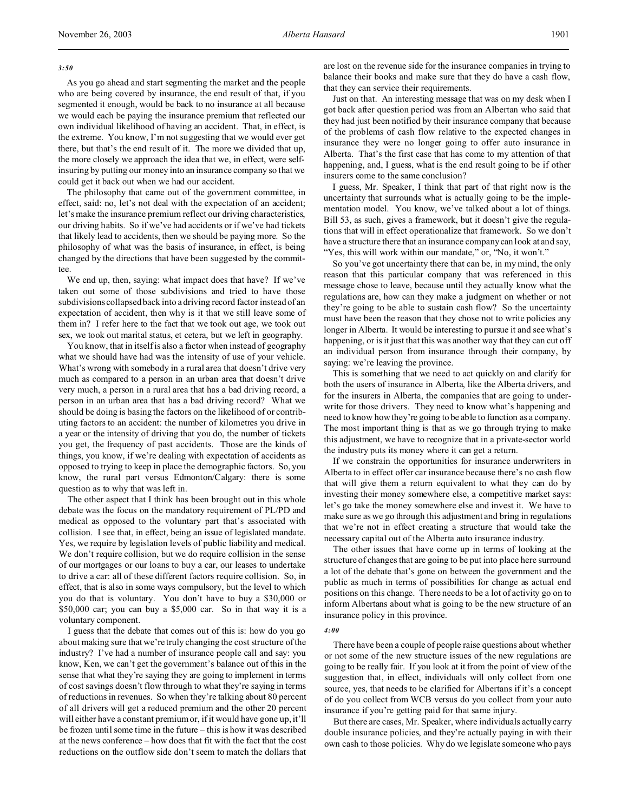### *3:50*

As you go ahead and start segmenting the market and the people who are being covered by insurance, the end result of that, if you segmented it enough, would be back to no insurance at all because we would each be paying the insurance premium that reflected our own individual likelihood of having an accident. That, in effect, is the extreme. You know, I'm not suggesting that we would ever get there, but that's the end result of it. The more we divided that up, the more closely we approach the idea that we, in effect, were selfinsuring by putting our money into an insurance company so that we could get it back out when we had our accident.

The philosophy that came out of the government committee, in effect, said: no, let's not deal with the expectation of an accident; let's make the insurance premium reflect our driving characteristics, our driving habits. So if we've had accidents or if we've had tickets that likely lead to accidents, then we should be paying more. So the philosophy of what was the basis of insurance, in effect, is being changed by the directions that have been suggested by the committee.

We end up, then, saying: what impact does that have? If we've taken out some of those subdivisions and tried to have those subdivisions collapsed back into a driving record factor instead of an expectation of accident, then why is it that we still leave some of them in? I refer here to the fact that we took out age, we took out sex, we took out marital status, et cetera, but we left in geography.

You know, that in itself is also a factor when instead of geography what we should have had was the intensity of use of your vehicle. What's wrong with somebody in a rural area that doesn't drive very much as compared to a person in an urban area that doesn't drive very much, a person in a rural area that has a bad driving record, a person in an urban area that has a bad driving record? What we should be doing is basing the factors on the likelihood of or contributing factors to an accident: the number of kilometres you drive in a year or the intensity of driving that you do, the number of tickets you get, the frequency of past accidents. Those are the kinds of things, you know, if we're dealing with expectation of accidents as opposed to trying to keep in place the demographic factors. So, you know, the rural part versus Edmonton/Calgary: there is some question as to why that was left in.

The other aspect that I think has been brought out in this whole debate was the focus on the mandatory requirement of PL/PD and medical as opposed to the voluntary part that's associated with collision. I see that, in effect, being an issue of legislated mandate. Yes, we require by legislation levels of public liability and medical. We don't require collision, but we do require collision in the sense of our mortgages or our loans to buy a car, our leases to undertake to drive a car: all of these different factors require collision. So, in effect, that is also in some ways compulsory, but the level to which you do that is voluntary. You don't have to buy a \$30,000 or \$50,000 car; you can buy a \$5,000 car. So in that way it is a voluntary component.

I guess that the debate that comes out of this is: how do you go about making sure that we're truly changing the cost structure of the industry? I've had a number of insurance people call and say: you know, Ken, we can't get the government's balance out of this in the sense that what they're saying they are going to implement in terms of cost savings doesn't flow through to what they're saying in terms of reductions in revenues. So when they're talking about 80 percent of all drivers will get a reduced premium and the other 20 percent will either have a constant premium or, if it would have gone up, it'll be frozen until some time in the future – this is how it was described at the news conference – how does that fit with the fact that the cost reductions on the outflow side don't seem to match the dollars that

are lost on the revenue side for the insurance companies in trying to balance their books and make sure that they do have a cash flow, that they can service their requirements.

Just on that. An interesting message that was on my desk when I got back after question period was from an Albertan who said that they had just been notified by their insurance company that because of the problems of cash flow relative to the expected changes in insurance they were no longer going to offer auto insurance in Alberta. That's the first case that has come to my attention of that happening, and, I guess, what is the end result going to be if other insurers come to the same conclusion?

I guess, Mr. Speaker, I think that part of that right now is the uncertainty that surrounds what is actually going to be the implementation model. You know, we've talked about a lot of things. Bill 53, as such, gives a framework, but it doesn't give the regulations that will in effect operationalize that framework. So we don't have a structure there that an insurance company can look at and say, "Yes, this will work within our mandate," or, "No, it won't."

So you've got uncertainty there that can be, in my mind, the only reason that this particular company that was referenced in this message chose to leave, because until they actually know what the regulations are, how can they make a judgment on whether or not they're going to be able to sustain cash flow? So the uncertainty must have been the reason that they chose not to write policies any longer in Alberta. It would be interesting to pursue it and see what's happening, or is it just that this was another way that they can cut off an individual person from insurance through their company, by saying: we're leaving the province.

This is something that we need to act quickly on and clarify for both the users of insurance in Alberta, like the Alberta drivers, and for the insurers in Alberta, the companies that are going to underwrite for those drivers. They need to know what's happening and need to know how they're going to be able to function as a company. The most important thing is that as we go through trying to make this adjustment, we have to recognize that in a private-sector world the industry puts its money where it can get a return.

If we constrain the opportunities for insurance underwriters in Alberta to in effect offer car insurance because there's no cash flow that will give them a return equivalent to what they can do by investing their money somewhere else, a competitive market says: let's go take the money somewhere else and invest it. We have to make sure as we go through this adjustment and bring in regulations that we're not in effect creating a structure that would take the necessary capital out of the Alberta auto insurance industry.

The other issues that have come up in terms of looking at the structure of changes that are going to be put into place here surround a lot of the debate that's gone on between the government and the public as much in terms of possibilities for change as actual end positions on this change. There needs to be a lot of activity go on to inform Albertans about what is going to be the new structure of an insurance policy in this province.

### *4:00*

There have been a couple of people raise questions about whether or not some of the new structure issues of the new regulations are going to be really fair. If you look at it from the point of view of the suggestion that, in effect, individuals will only collect from one source, yes, that needs to be clarified for Albertans if it's a concept of do you collect from WCB versus do you collect from your auto insurance if you're getting paid for that same injury.

But there are cases, Mr. Speaker, where individuals actually carry double insurance policies, and they're actually paying in with their own cash to those policies. Why do we legislate someone who pays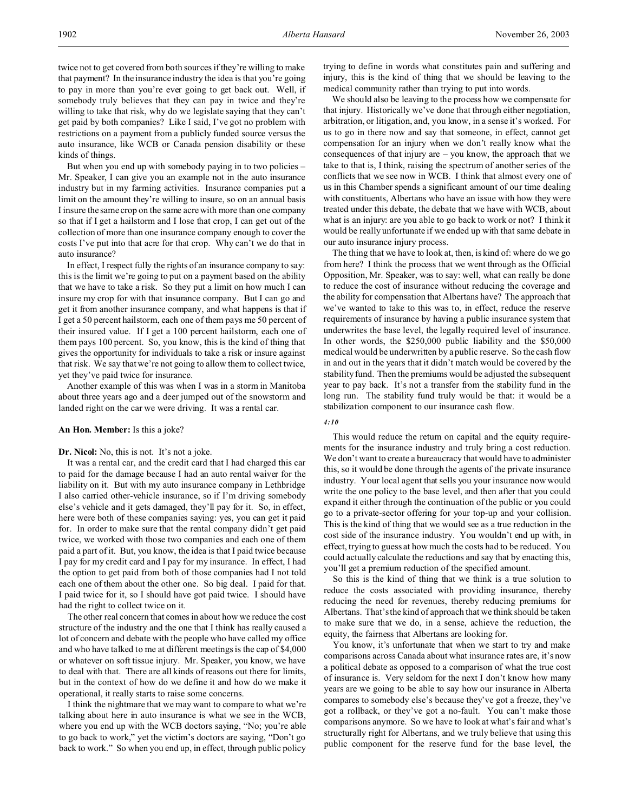twice not to get covered from both sources if they're willing to make that payment? In the insurance industry the idea is that you're going to pay in more than you're ever going to get back out. Well, if somebody truly believes that they can pay in twice and they're willing to take that risk, why do we legislate saying that they can't get paid by both companies? Like I said, I've got no problem with restrictions on a payment from a publicly funded source versus the auto insurance, like WCB or Canada pension disability or these kinds of things.

But when you end up with somebody paying in to two policies – Mr. Speaker, I can give you an example not in the auto insurance industry but in my farming activities. Insurance companies put a limit on the amount they're willing to insure, so on an annual basis I insure the same crop on the same acre with more than one company so that if I get a hailstorm and I lose that crop, I can get out of the collection of more than one insurance company enough to cover the costs I've put into that acre for that crop. Why can't we do that in auto insurance?

In effect, I respect fully the rights of an insurance company to say: this is the limit we're going to put on a payment based on the ability that we have to take a risk. So they put a limit on how much I can insure my crop for with that insurance company. But I can go and get it from another insurance company, and what happens is that if I get a 50 percent hailstorm, each one of them pays me 50 percent of their insured value. If I get a 100 percent hailstorm, each one of them pays 100 percent. So, you know, this is the kind of thing that gives the opportunity for individuals to take a risk or insure against that risk. We say that we're not going to allow them to collect twice, yet they've paid twice for insurance.

Another example of this was when I was in a storm in Manitoba about three years ago and a deer jumped out of the snowstorm and landed right on the car we were driving. It was a rental car.

#### **An Hon. Member:** Is this a joke?

#### **Dr. Nicol:** No, this is not. It's not a joke.

It was a rental car, and the credit card that I had charged this car to paid for the damage because I had an auto rental waiver for the liability on it. But with my auto insurance company in Lethbridge I also carried other-vehicle insurance, so if I'm driving somebody else's vehicle and it gets damaged, they'll pay for it. So, in effect, here were both of these companies saying: yes, you can get it paid for. In order to make sure that the rental company didn't get paid twice, we worked with those two companies and each one of them paid a part of it. But, you know, the idea is that I paid twice because I pay for my credit card and I pay for my insurance. In effect, I had the option to get paid from both of those companies had I not told each one of them about the other one. So big deal. I paid for that. I paid twice for it, so I should have got paid twice. I should have had the right to collect twice on it.

The other real concern that comes in about how we reduce the cost structure of the industry and the one that I think has really caused a lot of concern and debate with the people who have called my office and who have talked to me at different meetings is the cap of \$4,000 or whatever on soft tissue injury. Mr. Speaker, you know, we have to deal with that. There are all kinds of reasons out there for limits, but in the context of how do we define it and how do we make it operational, it really starts to raise some concerns.

I think the nightmare that we may want to compare to what we're talking about here in auto insurance is what we see in the WCB, where you end up with the WCB doctors saying, "No; you're able to go back to work," yet the victim's doctors are saying, "Don't go back to work." So when you end up, in effect, through public policy

trying to define in words what constitutes pain and suffering and injury, this is the kind of thing that we should be leaving to the medical community rather than trying to put into words.

We should also be leaving to the process how we compensate for that injury. Historically we've done that through either negotiation, arbitration, or litigation, and, you know, in a sense it's worked. For us to go in there now and say that someone, in effect, cannot get compensation for an injury when we don't really know what the consequences of that injury are – you know, the approach that we take to that is, I think, raising the spectrum of another series of the conflicts that we see now in WCB. I think that almost every one of us in this Chamber spends a significant amount of our time dealing with constituents, Albertans who have an issue with how they were treated under this debate, the debate that we have with WCB, about what is an injury: are you able to go back to work or not? I think it would be really unfortunate if we ended up with that same debate in our auto insurance injury process.

The thing that we have to look at, then, is kind of: where do we go from here? I think the process that we went through as the Official Opposition, Mr. Speaker, was to say: well, what can really be done to reduce the cost of insurance without reducing the coverage and the ability for compensation that Albertans have? The approach that we've wanted to take to this was to, in effect, reduce the reserve requirements of insurance by having a public insurance system that underwrites the base level, the legally required level of insurance. In other words, the \$250,000 public liability and the \$50,000 medical would be underwritten by a public reserve. So the cash flow in and out in the years that it didn't match would be covered by the stability fund. Then the premiums would be adjusted the subsequent year to pay back. It's not a transfer from the stability fund in the long run. The stability fund truly would be that: it would be a stabilization component to our insurance cash flow.

#### *4:10*

# This would reduce the return on capital and the equity requirements for the insurance industry and truly bring a cost reduction. We don't want to create a bureaucracy that would have to administer this, so it would be done through the agents of the private insurance industry. Your local agent that sells you your insurance now would write the one policy to the base level, and then after that you could expand it either through the continuation of the public or you could go to a private-sector offering for your top-up and your collision. This is the kind of thing that we would see as a true reduction in the cost side of the insurance industry. You wouldn't end up with, in effect, trying to guess at how much the costs had to be reduced. You could actually calculate the reductions and say that by enacting this, you'll get a premium reduction of the specified amount.

So this is the kind of thing that we think is a true solution to reduce the costs associated with providing insurance, thereby reducing the need for revenues, thereby reducing premiums for Albertans. That's the kind of approach that we think should be taken to make sure that we do, in a sense, achieve the reduction, the equity, the fairness that Albertans are looking for.

You know, it's unfortunate that when we start to try and make comparisons across Canada about what insurance rates are, it's now a political debate as opposed to a comparison of what the true cost of insurance is. Very seldom for the next I don't know how many years are we going to be able to say how our insurance in Alberta compares to somebody else's because they've got a freeze, they've got a rollback, or they've got a no-fault. You can't make those comparisons anymore. So we have to look at what's fair and what's structurally right for Albertans, and we truly believe that using this public component for the reserve fund for the base level, the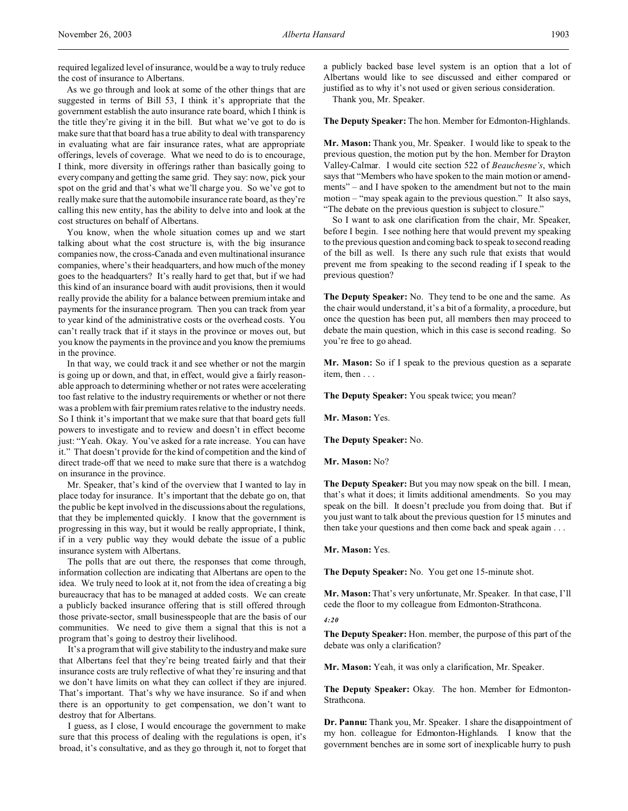required legalized level of insurance, would be a way to truly reduce the cost of insurance to Albertans.

As we go through and look at some of the other things that are suggested in terms of Bill 53, I think it's appropriate that the government establish the auto insurance rate board, which I think is the title they're giving it in the bill. But what we've got to do is make sure that that board has a true ability to deal with transparency in evaluating what are fair insurance rates, what are appropriate offerings, levels of coverage. What we need to do is to encourage, I think, more diversity in offerings rather than basically going to every company and getting the same grid. They say: now, pick your spot on the grid and that's what we'll charge you. So we've got to really make sure that the automobile insurance rate board, as they're calling this new entity, has the ability to delve into and look at the cost structures on behalf of Albertans.

You know, when the whole situation comes up and we start talking about what the cost structure is, with the big insurance companies now, the cross-Canada and even multinational insurance companies, where's their headquarters, and how much of the money goes to the headquarters? It's really hard to get that, but if we had this kind of an insurance board with audit provisions, then it would really provide the ability for a balance between premium intake and payments for the insurance program. Then you can track from year to year kind of the administrative costs or the overhead costs. You can't really track that if it stays in the province or moves out, but you know the payments in the province and you know the premiums in the province.

In that way, we could track it and see whether or not the margin is going up or down, and that, in effect, would give a fairly reasonable approach to determining whether or not rates were accelerating too fast relative to the industry requirements or whether or not there was a problem with fair premium rates relative to the industry needs. So I think it's important that we make sure that that board gets full powers to investigate and to review and doesn't in effect become just: "Yeah. Okay. You've asked for a rate increase. You can have it." That doesn't provide for the kind of competition and the kind of direct trade-off that we need to make sure that there is a watchdog on insurance in the province.

Mr. Speaker, that's kind of the overview that I wanted to lay in place today for insurance. It's important that the debate go on, that the public be kept involved in the discussions about the regulations, that they be implemented quickly. I know that the government is progressing in this way, but it would be really appropriate, I think, if in a very public way they would debate the issue of a public insurance system with Albertans.

The polls that are out there, the responses that come through, information collection are indicating that Albertans are open to the idea. We truly need to look at it, not from the idea of creating a big bureaucracy that has to be managed at added costs. We can create a publicly backed insurance offering that is still offered through those private-sector, small businesspeople that are the basis of our communities. We need to give them a signal that this is not a program that's going to destroy their livelihood.

It's a program that will give stability to the industry and make sure that Albertans feel that they're being treated fairly and that their insurance costs are truly reflective of what they're insuring and that we don't have limits on what they can collect if they are injured. That's important. That's why we have insurance. So if and when there is an opportunity to get compensation, we don't want to destroy that for Albertans.

I guess, as I close, I would encourage the government to make sure that this process of dealing with the regulations is open, it's broad, it's consultative, and as they go through it, not to forget that

a publicly backed base level system is an option that a lot of Albertans would like to see discussed and either compared or justified as to why it's not used or given serious consideration.

Thank you, Mr. Speaker.

**The Deputy Speaker:** The hon. Member for Edmonton-Highlands.

**Mr. Mason:** Thank you, Mr. Speaker. I would like to speak to the previous question, the motion put by the hon. Member for Drayton Valley-Calmar. I would cite section 522 of *Beauchesne's*, which says that "Members who have spoken to the main motion or amendments" – and I have spoken to the amendment but not to the main motion – "may speak again to the previous question." It also says, "The debate on the previous question is subject to closure."

So I want to ask one clarification from the chair, Mr. Speaker, before I begin. I see nothing here that would prevent my speaking to the previous question and coming back to speak to second reading of the bill as well. Is there any such rule that exists that would prevent me from speaking to the second reading if I speak to the previous question?

**The Deputy Speaker:** No. They tend to be one and the same. As the chair would understand, it's a bit of a formality, a procedure, but once the question has been put, all members then may proceed to debate the main question, which in this case is second reading. So you're free to go ahead.

**Mr. Mason:** So if I speak to the previous question as a separate item, then . . .

**The Deputy Speaker:** You speak twice; you mean?

**Mr. Mason:** Yes.

**The Deputy Speaker:** No.

**Mr. Mason:** No?

**The Deputy Speaker:** But you may now speak on the bill. I mean, that's what it does; it limits additional amendments. So you may speak on the bill. It doesn't preclude you from doing that. But if you just want to talk about the previous question for 15 minutes and then take your questions and then come back and speak again . . .

**Mr. Mason:** Yes.

**The Deputy Speaker:** No. You get one 15-minute shot.

**Mr. Mason:** That's very unfortunate, Mr. Speaker. In that case, I'll cede the floor to my colleague from Edmonton-Strathcona.

*4:20*

**The Deputy Speaker:** Hon. member, the purpose of this part of the debate was only a clarification?

**Mr. Mason:** Yeah, it was only a clarification, Mr. Speaker.

**The Deputy Speaker:** Okay. The hon. Member for Edmonton-Strathcona.

**Dr. Pannu:** Thank you, Mr. Speaker. I share the disappointment of my hon. colleague for Edmonton-Highlands. I know that the government benches are in some sort of inexplicable hurry to push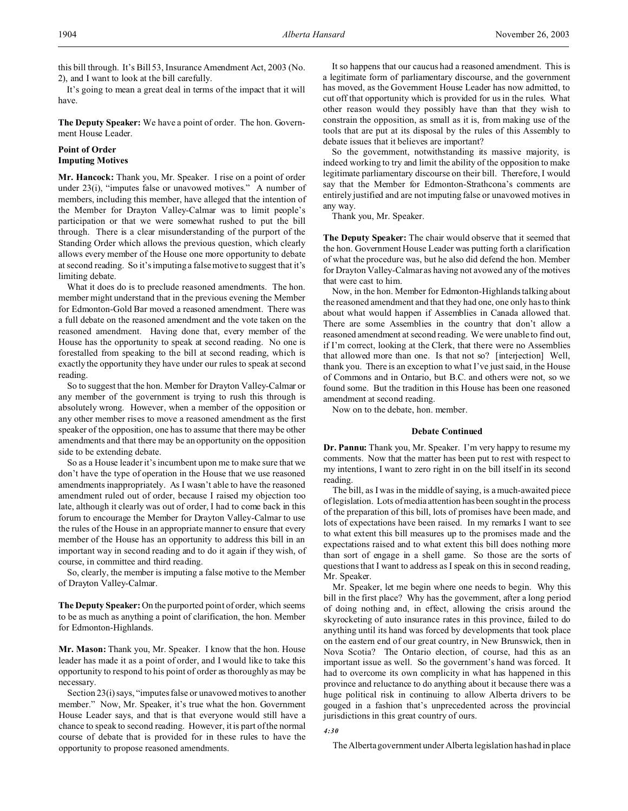this bill through. It's Bill 53, Insurance Amendment Act, 2003 (No. 2), and I want to look at the bill carefully.

It's going to mean a great deal in terms of the impact that it will have.

**The Deputy Speaker:** We have a point of order. The hon. Government House Leader.

# **Point of Order Imputing Motives**

**Mr. Hancock:** Thank you, Mr. Speaker. I rise on a point of order under 23(i), "imputes false or unavowed motives." A number of members, including this member, have alleged that the intention of the Member for Drayton Valley-Calmar was to limit people's participation or that we were somewhat rushed to put the bill through. There is a clear misunderstanding of the purport of the Standing Order which allows the previous question, which clearly allows every member of the House one more opportunity to debate at second reading. So it's imputing a false motive to suggest that it's limiting debate.

What it does do is to preclude reasoned amendments. The hon. member might understand that in the previous evening the Member for Edmonton-Gold Bar moved a reasoned amendment. There was a full debate on the reasoned amendment and the vote taken on the reasoned amendment. Having done that, every member of the House has the opportunity to speak at second reading. No one is forestalled from speaking to the bill at second reading, which is exactly the opportunity they have under our rules to speak at second reading.

So to suggest that the hon. Member for Drayton Valley-Calmar or any member of the government is trying to rush this through is absolutely wrong. However, when a member of the opposition or any other member rises to move a reasoned amendment as the first speaker of the opposition, one has to assume that there may be other amendments and that there may be an opportunity on the opposition side to be extending debate.

So as a House leader it's incumbent upon me to make sure that we don't have the type of operation in the House that we use reasoned amendments inappropriately. As I wasn't able to have the reasoned amendment ruled out of order, because I raised my objection too late, although it clearly was out of order, I had to come back in this forum to encourage the Member for Drayton Valley-Calmar to use the rules of the House in an appropriate manner to ensure that every member of the House has an opportunity to address this bill in an important way in second reading and to do it again if they wish, of course, in committee and third reading.

So, clearly, the member is imputing a false motive to the Member of Drayton Valley-Calmar.

**The Deputy Speaker:** On the purported point of order, which seems to be as much as anything a point of clarification, the hon. Member for Edmonton-Highlands.

**Mr. Mason:** Thank you, Mr. Speaker. I know that the hon. House leader has made it as a point of order, and I would like to take this opportunity to respond to his point of order as thoroughly as may be necessary.

Section 23(i) says, "imputes false or unavowed motives to another member." Now, Mr. Speaker, it's true what the hon. Government House Leader says, and that is that everyone would still have a chance to speak to second reading. However, it is part of the normal course of debate that is provided for in these rules to have the opportunity to propose reasoned amendments.

It so happens that our caucus had a reasoned amendment. This is a legitimate form of parliamentary discourse, and the government has moved, as the Government House Leader has now admitted, to cut off that opportunity which is provided for us in the rules. What other reason would they possibly have than that they wish to constrain the opposition, as small as it is, from making use of the tools that are put at its disposal by the rules of this Assembly to debate issues that it believes are important?

So the government, notwithstanding its massive majority, is indeed working to try and limit the ability of the opposition to make legitimate parliamentary discourse on their bill. Therefore, I would say that the Member for Edmonton-Strathcona's comments are entirely justified and are not imputing false or unavowed motives in any way.

Thank you, Mr. Speaker.

**The Deputy Speaker:** The chair would observe that it seemed that the hon. Government House Leader was putting forth a clarification of what the procedure was, but he also did defend the hon. Member for Drayton Valley-Calmar as having not avowed any of the motives that were cast to him.

Now, in the hon. Member for Edmonton-Highlands talking about the reasoned amendment and that they had one, one only has to think about what would happen if Assemblies in Canada allowed that. There are some Assemblies in the country that don't allow a reasoned amendment at second reading. We were unable to find out, if I'm correct, looking at the Clerk, that there were no Assemblies that allowed more than one. Is that not so? [interjection] Well, thank you. There is an exception to what I've just said, in the House of Commons and in Ontario, but B.C. and others were not, so we found some. But the tradition in this House has been one reasoned amendment at second reading.

Now on to the debate, hon. member.

#### **Debate Continued**

**Dr. Pannu:** Thank you, Mr. Speaker. I'm very happy to resume my comments. Now that the matter has been put to rest with respect to my intentions, I want to zero right in on the bill itself in its second reading.

The bill, as I was in the middle of saying, is a much-awaited piece of legislation. Lots of media attention has been sought in the process of the preparation of this bill, lots of promises have been made, and lots of expectations have been raised. In my remarks I want to see to what extent this bill measures up to the promises made and the expectations raised and to what extent this bill does nothing more than sort of engage in a shell game. So those are the sorts of questions that I want to address as I speak on this in second reading, Mr. Speaker.

Mr. Speaker, let me begin where one needs to begin. Why this bill in the first place? Why has the government, after a long period of doing nothing and, in effect, allowing the crisis around the skyrocketing of auto insurance rates in this province, failed to do anything until its hand was forced by developments that took place on the eastern end of our great country, in New Brunswick, then in Nova Scotia? The Ontario election, of course, had this as an important issue as well. So the government's hand was forced. It had to overcome its own complicity in what has happened in this province and reluctance to do anything about it because there was a huge political risk in continuing to allow Alberta drivers to be gouged in a fashion that's unprecedented across the provincial jurisdictions in this great country of ours.

# *4:30*

The Alberta government under Alberta legislation has had in place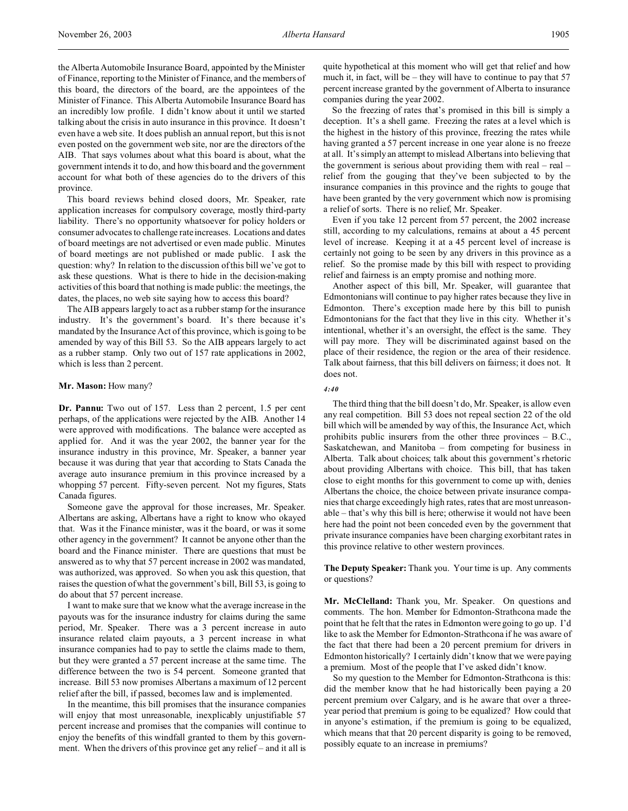the Alberta Automobile Insurance Board, appointed by the Minister of Finance, reporting to the Minister of Finance, and the members of this board, the directors of the board, are the appointees of the Minister of Finance. This Alberta Automobile Insurance Board has an incredibly low profile. I didn't know about it until we started talking about the crisis in auto insurance in this province. It doesn't even have a web site. It does publish an annual report, but this is not even posted on the government web site, nor are the directors of the AIB. That says volumes about what this board is about, what the government intends it to do, and how this board and the government account for what both of these agencies do to the drivers of this province.

This board reviews behind closed doors, Mr. Speaker, rate application increases for compulsory coverage, mostly third-party liability. There's no opportunity whatsoever for policy holders or consumer advocates to challenge rate increases. Locations and dates of board meetings are not advertised or even made public. Minutes of board meetings are not published or made public. I ask the question: why? In relation to the discussion of this bill we've got to ask these questions. What is there to hide in the decision-making activities of this board that nothing is made public: the meetings, the dates, the places, no web site saying how to access this board?

The AIB appears largely to act as a rubber stamp for the insurance industry. It's the government's board. It's there because it's mandated by the Insurance Act of this province, which is going to be amended by way of this Bill 53. So the AIB appears largely to act as a rubber stamp. Only two out of 157 rate applications in 2002, which is less than 2 percent.

### **Mr. Mason:** How many?

**Dr. Pannu:** Two out of 157. Less than 2 percent, 1.5 per cent perhaps, of the applications were rejected by the AIB. Another 14 were approved with modifications. The balance were accepted as applied for. And it was the year 2002, the banner year for the insurance industry in this province, Mr. Speaker, a banner year because it was during that year that according to Stats Canada the average auto insurance premium in this province increased by a whopping 57 percent. Fifty-seven percent. Not my figures, Stats Canada figures.

Someone gave the approval for those increases, Mr. Speaker. Albertans are asking, Albertans have a right to know who okayed that. Was it the Finance minister, was it the board, or was it some other agency in the government? It cannot be anyone other than the board and the Finance minister. There are questions that must be answered as to why that 57 percent increase in 2002 was mandated, was authorized, was approved. So when you ask this question, that raises the question of what the government's bill, Bill 53, is going to do about that 57 percent increase.

I want to make sure that we know what the average increase in the payouts was for the insurance industry for claims during the same period, Mr. Speaker. There was a 3 percent increase in auto insurance related claim payouts, a 3 percent increase in what insurance companies had to pay to settle the claims made to them, but they were granted a 57 percent increase at the same time. The difference between the two is 54 percent. Someone granted that increase. Bill 53 now promises Albertans a maximum of 12 percent relief after the bill, if passed, becomes law and is implemented.

In the meantime, this bill promises that the insurance companies will enjoy that most unreasonable, inexplicably unjustifiable 57 percent increase and promises that the companies will continue to enjoy the benefits of this windfall granted to them by this government. When the drivers of this province get any relief – and it all is

quite hypothetical at this moment who will get that relief and how much it, in fact, will be – they will have to continue to pay that 57 percent increase granted by the government of Alberta to insurance companies during the year 2002.

So the freezing of rates that's promised in this bill is simply a deception. It's a shell game. Freezing the rates at a level which is the highest in the history of this province, freezing the rates while having granted a 57 percent increase in one year alone is no freeze at all. It's simply an attempt to mislead Albertans into believing that the government is serious about providing them with real – real – relief from the gouging that they've been subjected to by the insurance companies in this province and the rights to gouge that have been granted by the very government which now is promising a relief of sorts. There is no relief, Mr. Speaker.

Even if you take 12 percent from 57 percent, the 2002 increase still, according to my calculations, remains at about a 45 percent level of increase. Keeping it at a 45 percent level of increase is certainly not going to be seen by any drivers in this province as a relief. So the promise made by this bill with respect to providing relief and fairness is an empty promise and nothing more.

Another aspect of this bill, Mr. Speaker, will guarantee that Edmontonians will continue to pay higher rates because they live in Edmonton. There's exception made here by this bill to punish Edmontonians for the fact that they live in this city. Whether it's intentional, whether it's an oversight, the effect is the same. They will pay more. They will be discriminated against based on the place of their residence, the region or the area of their residence. Talk about fairness, that this bill delivers on fairness; it does not. It does not.

### *4:40*

The third thing that the bill doesn't do, Mr. Speaker, is allow even any real competition. Bill 53 does not repeal section 22 of the old bill which will be amended by way of this, the Insurance Act, which prohibits public insurers from the other three provinces – B.C., Saskatchewan, and Manitoba – from competing for business in Alberta. Talk about choices; talk about this government's rhetoric about providing Albertans with choice. This bill, that has taken close to eight months for this government to come up with, denies Albertans the choice, the choice between private insurance companies that charge exceedingly high rates, rates that are most unreasonable – that's why this bill is here; otherwise it would not have been here had the point not been conceded even by the government that private insurance companies have been charging exorbitant rates in this province relative to other western provinces.

**The Deputy Speaker:** Thank you. Your time is up. Any comments or questions?

**Mr. McClelland:** Thank you, Mr. Speaker. On questions and comments. The hon. Member for Edmonton-Strathcona made the point that he felt that the rates in Edmonton were going to go up. I'd like to ask the Member for Edmonton-Strathcona if he was aware of the fact that there had been a 20 percent premium for drivers in Edmonton historically? I certainly didn't know that we were paying a premium. Most of the people that I've asked didn't know.

So my question to the Member for Edmonton-Strathcona is this: did the member know that he had historically been paying a 20 percent premium over Calgary, and is he aware that over a threeyear period that premium is going to be equalized? How could that in anyone's estimation, if the premium is going to be equalized, which means that that 20 percent disparity is going to be removed, possibly equate to an increase in premiums?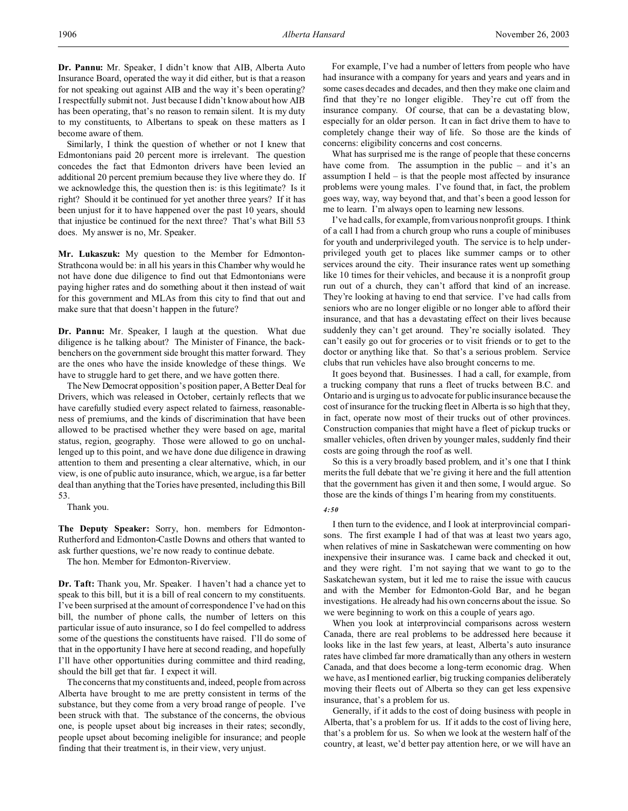**Dr. Pannu:** Mr. Speaker, I didn't know that AIB, Alberta Auto Insurance Board, operated the way it did either, but is that a reason for not speaking out against AIB and the way it's been operating? I respectfully submit not. Just because I didn't know about how AIB has been operating, that's no reason to remain silent. It is my duty to my constituents, to Albertans to speak on these matters as I become aware of them.

Similarly, I think the question of whether or not I knew that Edmontonians paid 20 percent more is irrelevant. The question concedes the fact that Edmonton drivers have been levied an additional 20 percent premium because they live where they do. If we acknowledge this, the question then is: is this legitimate? Is it right? Should it be continued for yet another three years? If it has been unjust for it to have happened over the past 10 years, should that injustice be continued for the next three? That's what Bill 53 does. My answer is no, Mr. Speaker.

**Mr. Lukaszuk:** My question to the Member for Edmonton-Strathcona would be: in all his years in this Chamber why would he not have done due diligence to find out that Edmontonians were paying higher rates and do something about it then instead of wait for this government and MLAs from this city to find that out and make sure that that doesn't happen in the future?

**Dr. Pannu:** Mr. Speaker, I laugh at the question. What due diligence is he talking about? The Minister of Finance, the backbenchers on the government side brought this matter forward. They are the ones who have the inside knowledge of these things. We have to struggle hard to get there, and we have gotten there.

The New Democrat opposition's position paper, A Better Deal for Drivers, which was released in October, certainly reflects that we have carefully studied every aspect related to fairness, reasonableness of premiums, and the kinds of discrimination that have been allowed to be practised whether they were based on age, marital status, region, geography. Those were allowed to go on unchallenged up to this point, and we have done due diligence in drawing attention to them and presenting a clear alternative, which, in our view, is one of public auto insurance, which, we argue, is a far better deal than anything that the Tories have presented, including this Bill 53.

Thank you.

**The Deputy Speaker:** Sorry, hon. members for Edmonton-Rutherford and Edmonton-Castle Downs and others that wanted to ask further questions, we're now ready to continue debate.

The hon. Member for Edmonton-Riverview.

**Dr. Taft:** Thank you, Mr. Speaker. I haven't had a chance yet to speak to this bill, but it is a bill of real concern to my constituents. I've been surprised at the amount of correspondence I've had on this bill, the number of phone calls, the number of letters on this particular issue of auto insurance, so I do feel compelled to address some of the questions the constituents have raised. I'll do some of that in the opportunity I have here at second reading, and hopefully I'll have other opportunities during committee and third reading, should the bill get that far. I expect it will.

The concerns that my constituents and, indeed, people from across Alberta have brought to me are pretty consistent in terms of the substance, but they come from a very broad range of people. I've been struck with that. The substance of the concerns, the obvious one, is people upset about big increases in their rates; secondly, people upset about becoming ineligible for insurance; and people finding that their treatment is, in their view, very unjust.

For example, I've had a number of letters from people who have had insurance with a company for years and years and years and in some cases decades and decades, and then they make one claim and find that they're no longer eligible. They're cut off from the insurance company. Of course, that can be a devastating blow, especially for an older person. It can in fact drive them to have to completely change their way of life. So those are the kinds of concerns: eligibility concerns and cost concerns.

What has surprised me is the range of people that these concerns have come from. The assumption in the public – and it's an assumption I held – is that the people most affected by insurance problems were young males. I've found that, in fact, the problem goes way, way, way beyond that, and that's been a good lesson for me to learn. I'm always open to learning new lessons.

I've had calls, for example, from various nonprofit groups. I think of a call I had from a church group who runs a couple of minibuses for youth and underprivileged youth. The service is to help underprivileged youth get to places like summer camps or to other services around the city. Their insurance rates went up something like 10 times for their vehicles, and because it is a nonprofit group run out of a church, they can't afford that kind of an increase. They're looking at having to end that service. I've had calls from seniors who are no longer eligible or no longer able to afford their insurance, and that has a devastating effect on their lives because suddenly they can't get around. They're socially isolated. They can't easily go out for groceries or to visit friends or to get to the doctor or anything like that. So that's a serious problem. Service clubs that run vehicles have also brought concerns to me.

It goes beyond that. Businesses. I had a call, for example, from a trucking company that runs a fleet of trucks between B.C. and Ontario and is urging us to advocate for public insurance because the cost of insurance for the trucking fleet in Alberta is so high that they, in fact, operate now most of their trucks out of other provinces. Construction companies that might have a fleet of pickup trucks or smaller vehicles, often driven by younger males, suddenly find their costs are going through the roof as well.

So this is a very broadly based problem, and it's one that I think merits the full debate that we're giving it here and the full attention that the government has given it and then some, I would argue. So those are the kinds of things I'm hearing from my constituents.

#### *4:50*

I then turn to the evidence, and I look at interprovincial comparisons. The first example I had of that was at least two years ago, when relatives of mine in Saskatchewan were commenting on how inexpensive their insurance was. I came back and checked it out, and they were right. I'm not saying that we want to go to the Saskatchewan system, but it led me to raise the issue with caucus and with the Member for Edmonton-Gold Bar, and he began investigations. He already had his own concerns about the issue. So we were beginning to work on this a couple of years ago.

When you look at interprovincial comparisons across western Canada, there are real problems to be addressed here because it looks like in the last few years, at least, Alberta's auto insurance rates have climbed far more dramatically than any others in western Canada, and that does become a long-term economic drag. When we have, as I mentioned earlier, big trucking companies deliberately moving their fleets out of Alberta so they can get less expensive insurance, that's a problem for us.

Generally, if it adds to the cost of doing business with people in Alberta, that's a problem for us. If it adds to the cost of living here, that's a problem for us. So when we look at the western half of the country, at least, we'd better pay attention here, or we will have an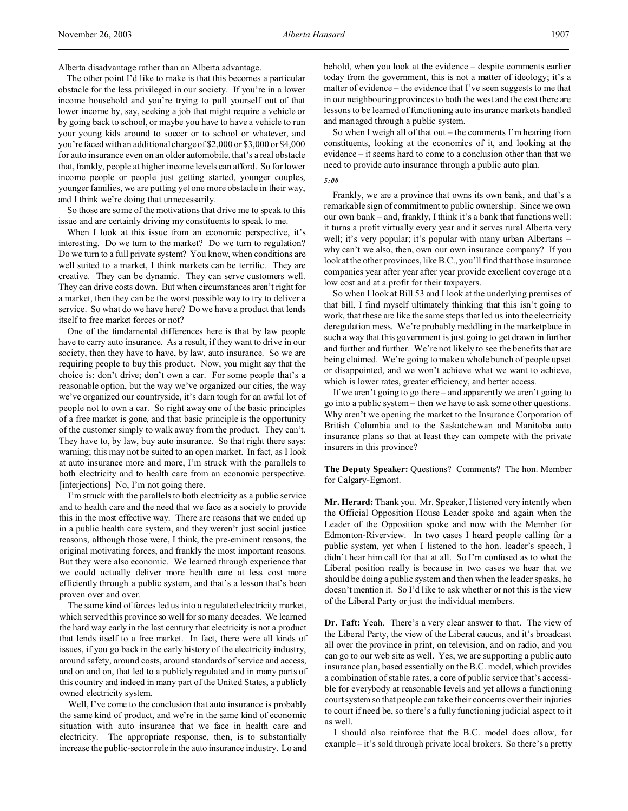Alberta disadvantage rather than an Alberta advantage.

The other point I'd like to make is that this becomes a particular obstacle for the less privileged in our society. If you're in a lower income household and you're trying to pull yourself out of that lower income by, say, seeking a job that might require a vehicle or by going back to school, or maybe you have to have a vehicle to run your young kids around to soccer or to school or whatever, and you're faced with an additional charge of \$2,000 or \$3,000 or \$4,000 for auto insurance even on an older automobile, that's a real obstacle that, frankly, people at higher income levels can afford. So for lower income people or people just getting started, younger couples, younger families, we are putting yet one more obstacle in their way, and I think we're doing that unnecessarily.

So those are some of the motivations that drive me to speak to this issue and are certainly driving my constituents to speak to me.

When I look at this issue from an economic perspective, it's interesting. Do we turn to the market? Do we turn to regulation? Do we turn to a full private system? You know, when conditions are well suited to a market, I think markets can be terrific. They are creative. They can be dynamic. They can serve customers well. They can drive costs down. But when circumstances aren't right for a market, then they can be the worst possible way to try to deliver a service. So what do we have here? Do we have a product that lends itself to free market forces or not?

One of the fundamental differences here is that by law people have to carry auto insurance. As a result, if they want to drive in our society, then they have to have, by law, auto insurance. So we are requiring people to buy this product. Now, you might say that the choice is: don't drive; don't own a car. For some people that's a reasonable option, but the way we've organized our cities, the way we've organized our countryside, it's darn tough for an awful lot of people not to own a car. So right away one of the basic principles of a free market is gone, and that basic principle is the opportunity of the customer simply to walk away from the product. They can't. They have to, by law, buy auto insurance. So that right there says: warning; this may not be suited to an open market. In fact, as I look at auto insurance more and more, I'm struck with the parallels to both electricity and to health care from an economic perspective. [interjections] No, I'm not going there.

I'm struck with the parallels to both electricity as a public service and to health care and the need that we face as a society to provide this in the most effective way. There are reasons that we ended up in a public health care system, and they weren't just social justice reasons, although those were, I think, the pre-eminent reasons, the original motivating forces, and frankly the most important reasons. But they were also economic. We learned through experience that we could actually deliver more health care at less cost more efficiently through a public system, and that's a lesson that's been proven over and over.

The same kind of forces led us into a regulated electricity market, which served this province so well for so many decades. We learned the hard way early in the last century that electricity is not a product that lends itself to a free market. In fact, there were all kinds of issues, if you go back in the early history of the electricity industry, around safety, around costs, around standards of service and access, and on and on, that led to a publicly regulated and in many parts of this country and indeed in many part of the United States, a publicly owned electricity system.

Well, I've come to the conclusion that auto insurance is probably the same kind of product, and we're in the same kind of economic situation with auto insurance that we face in health care and electricity. The appropriate response, then, is to substantially increase the public-sector role in the auto insurance industry. Lo and

behold, when you look at the evidence – despite comments earlier today from the government, this is not a matter of ideology; it's a matter of evidence – the evidence that I've seen suggests to me that in our neighbouring provinces to both the west and the east there are lessons to be learned of functioning auto insurance markets handled and managed through a public system.

So when I weigh all of that out – the comments I'm hearing from constituents, looking at the economics of it, and looking at the evidence – it seems hard to come to a conclusion other than that we need to provide auto insurance through a public auto plan.

### *5:00*

Frankly, we are a province that owns its own bank, and that's a remarkable sign of commitment to public ownership. Since we own our own bank – and, frankly, I think it's a bank that functions well: it turns a profit virtually every year and it serves rural Alberta very well; it's very popular; it's popular with many urban Albertans why can't we also, then, own our own insurance company? If you look at the other provinces, like B.C., you'll find that those insurance companies year after year after year provide excellent coverage at a low cost and at a profit for their taxpayers.

So when I look at Bill 53 and I look at the underlying premises of that bill, I find myself ultimately thinking that this isn't going to work, that these are like the same steps that led us into the electricity deregulation mess. We're probably meddling in the marketplace in such a way that this government is just going to get drawn in further and further and further. We're not likely to see the benefits that are being claimed. We're going to make a whole bunch of people upset or disappointed, and we won't achieve what we want to achieve, which is lower rates, greater efficiency, and better access.

If we aren't going to go there – and apparently we aren't going to go into a public system – then we have to ask some other questions. Why aren't we opening the market to the Insurance Corporation of British Columbia and to the Saskatchewan and Manitoba auto insurance plans so that at least they can compete with the private insurers in this province?

**The Deputy Speaker:** Questions? Comments? The hon. Member for Calgary-Egmont.

**Mr. Herard:** Thank you. Mr. Speaker, I listened very intently when the Official Opposition House Leader spoke and again when the Leader of the Opposition spoke and now with the Member for Edmonton-Riverview. In two cases I heard people calling for a public system, yet when I listened to the hon. leader's speech, I didn't hear him call for that at all. So I'm confused as to what the Liberal position really is because in two cases we hear that we should be doing a public system and then when the leader speaks, he doesn't mention it. So I'd like to ask whether or not this is the view of the Liberal Party or just the individual members.

**Dr. Taft:** Yeah. There's a very clear answer to that. The view of the Liberal Party, the view of the Liberal caucus, and it's broadcast all over the province in print, on television, and on radio, and you can go to our web site as well. Yes, we are supporting a public auto insurance plan, based essentially on the B.C. model, which provides a combination of stable rates, a core of public service that's accessible for everybody at reasonable levels and yet allows a functioning court system so that people can take their concerns over their injuries to court if need be, so there's a fully functioning judicial aspect to it as well.

I should also reinforce that the B.C. model does allow, for example – it's sold through private local brokers. So there's a pretty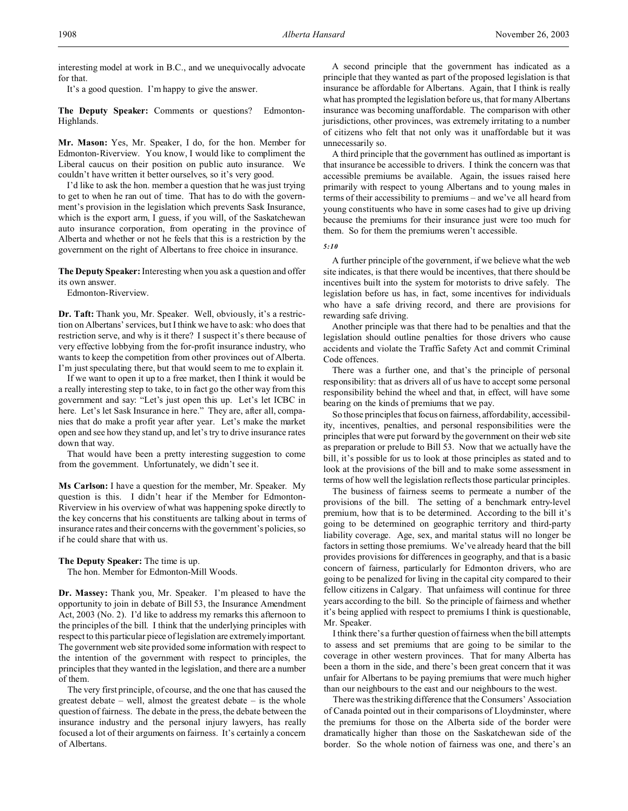interesting model at work in B.C., and we unequivocally advocate for that.

It's a good question. I'm happy to give the answer.

**The Deputy Speaker:** Comments or questions? Edmonton-Highlands.

**Mr. Mason:** Yes, Mr. Speaker, I do, for the hon. Member for Edmonton-Riverview. You know, I would like to compliment the Liberal caucus on their position on public auto insurance. We couldn't have written it better ourselves, so it's very good.

I'd like to ask the hon. member a question that he was just trying to get to when he ran out of time. That has to do with the government's provision in the legislation which prevents Sask Insurance, which is the export arm, I guess, if you will, of the Saskatchewan auto insurance corporation, from operating in the province of Alberta and whether or not he feels that this is a restriction by the government on the right of Albertans to free choice in insurance.

**The Deputy Speaker:** Interesting when you ask a question and offer its own answer.

Edmonton-Riverview.

**Dr. Taft:** Thank you, Mr. Speaker. Well, obviously, it's a restriction on Albertans' services, but I think we have to ask: who does that restriction serve, and why is it there? I suspect it's there because of very effective lobbying from the for-profit insurance industry, who wants to keep the competition from other provinces out of Alberta. I'm just speculating there, but that would seem to me to explain it.

If we want to open it up to a free market, then I think it would be a really interesting step to take, to in fact go the other way from this government and say: "Let's just open this up. Let's let ICBC in here. Let's let Sask Insurance in here." They are, after all, companies that do make a profit year after year. Let's make the market open and see how they stand up, and let's try to drive insurance rates down that way.

That would have been a pretty interesting suggestion to come from the government. Unfortunately, we didn't see it.

**Ms Carlson:** I have a question for the member, Mr. Speaker. My question is this. I didn't hear if the Member for Edmonton-Riverview in his overview of what was happening spoke directly to the key concerns that his constituents are talking about in terms of insurance rates and their concerns with the government's policies, so if he could share that with us.

**The Deputy Speaker:** The time is up.

The hon. Member for Edmonton-Mill Woods.

**Dr. Massey:** Thank you, Mr. Speaker. I'm pleased to have the opportunity to join in debate of Bill 53, the Insurance Amendment Act, 2003 (No. 2). I'd like to address my remarks this afternoon to the principles of the bill. I think that the underlying principles with respect to this particular piece of legislation are extremely important. The government web site provided some information with respect to the intention of the government with respect to principles, the principles that they wanted in the legislation, and there are a number of them.

The very first principle, of course, and the one that has caused the greatest debate – well, almost the greatest debate – is the whole question of fairness. The debate in the press, the debate between the insurance industry and the personal injury lawyers, has really focused a lot of their arguments on fairness. It's certainly a concern of Albertans.

A second principle that the government has indicated as a principle that they wanted as part of the proposed legislation is that insurance be affordable for Albertans. Again, that I think is really what has prompted the legislation before us, that for many Albertans insurance was becoming unaffordable. The comparison with other jurisdictions, other provinces, was extremely irritating to a number of citizens who felt that not only was it unaffordable but it was unnecessarily so.

A third principle that the government has outlined as important is that insurance be accessible to drivers. I think the concern was that accessible premiums be available. Again, the issues raised here primarily with respect to young Albertans and to young males in terms of their accessibility to premiums – and we've all heard from young constituents who have in some cases had to give up driving because the premiums for their insurance just were too much for them. So for them the premiums weren't accessible.

*5:10*

A further principle of the government, if we believe what the web site indicates, is that there would be incentives, that there should be incentives built into the system for motorists to drive safely. The legislation before us has, in fact, some incentives for individuals who have a safe driving record, and there are provisions for rewarding safe driving.

Another principle was that there had to be penalties and that the legislation should outline penalties for those drivers who cause accidents and violate the Traffic Safety Act and commit Criminal Code offences.

There was a further one, and that's the principle of personal responsibility: that as drivers all of us have to accept some personal responsibility behind the wheel and that, in effect, will have some bearing on the kinds of premiums that we pay.

So those principles that focus on fairness, affordability, accessibility, incentives, penalties, and personal responsibilities were the principles that were put forward by the government on their web site as preparation or prelude to Bill 53. Now that we actually have the bill, it's possible for us to look at those principles as stated and to look at the provisions of the bill and to make some assessment in terms of how well the legislation reflects those particular principles.

The business of fairness seems to permeate a number of the provisions of the bill. The setting of a benchmark entry-level premium, how that is to be determined. According to the bill it's going to be determined on geographic territory and third-party liability coverage. Age, sex, and marital status will no longer be factors in setting those premiums. We've already heard that the bill provides provisions for differences in geography, and that is a basic concern of fairness, particularly for Edmonton drivers, who are going to be penalized for living in the capital city compared to their fellow citizens in Calgary. That unfairness will continue for three years according to the bill. So the principle of fairness and whether it's being applied with respect to premiums I think is questionable, Mr. Speaker.

I think there's a further question of fairness when the bill attempts to assess and set premiums that are going to be similar to the coverage in other western provinces. That for many Alberta has been a thorn in the side, and there's been great concern that it was unfair for Albertans to be paying premiums that were much higher than our neighbours to the east and our neighbours to the west.

There was the striking difference that the Consumers' Association of Canada pointed out in their comparisons of Lloydminster, where the premiums for those on the Alberta side of the border were dramatically higher than those on the Saskatchewan side of the border. So the whole notion of fairness was one, and there's an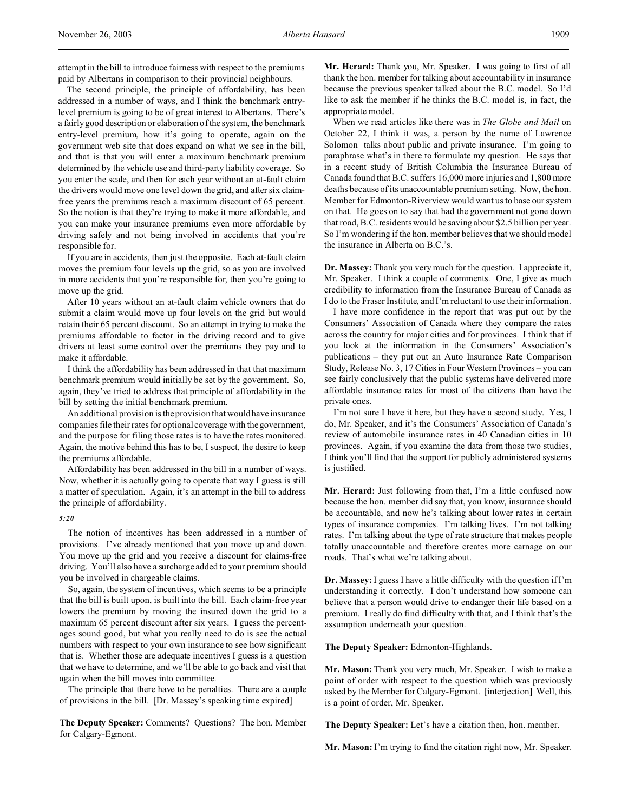attempt in the bill to introduce fairness with respect to the premiums paid by Albertans in comparison to their provincial neighbours.

The second principle, the principle of affordability, has been addressed in a number of ways, and I think the benchmark entrylevel premium is going to be of great interest to Albertans. There's a fairly good description or elaboration of the system, the benchmark entry-level premium, how it's going to operate, again on the government web site that does expand on what we see in the bill, and that is that you will enter a maximum benchmark premium determined by the vehicle use and third-party liability coverage. So you enter the scale, and then for each year without an at-fault claim the drivers would move one level down the grid, and after six claimfree years the premiums reach a maximum discount of 65 percent. So the notion is that they're trying to make it more affordable, and you can make your insurance premiums even more affordable by driving safely and not being involved in accidents that you're responsible for.

If you are in accidents, then just the opposite. Each at-fault claim moves the premium four levels up the grid, so as you are involved in more accidents that you're responsible for, then you're going to move up the grid.

After 10 years without an at-fault claim vehicle owners that do submit a claim would move up four levels on the grid but would retain their 65 percent discount. So an attempt in trying to make the premiums affordable to factor in the driving record and to give drivers at least some control over the premiums they pay and to make it affordable.

I think the affordability has been addressed in that that maximum benchmark premium would initially be set by the government. So, again, they've tried to address that principle of affordability in the bill by setting the initial benchmark premium.

An additional provision is the provision that would have insurance companies file their rates for optional coverage with the government, and the purpose for filing those rates is to have the rates monitored. Again, the motive behind this has to be, I suspect, the desire to keep the premiums affordable.

Affordability has been addressed in the bill in a number of ways. Now, whether it is actually going to operate that way I guess is still a matter of speculation. Again, it's an attempt in the bill to address the principle of affordability.

#### *5:20*

The notion of incentives has been addressed in a number of provisions. I've already mentioned that you move up and down. You move up the grid and you receive a discount for claims-free driving. You'll also have a surcharge added to your premium should you be involved in chargeable claims.

So, again, the system of incentives, which seems to be a principle that the bill is built upon, is built into the bill. Each claim-free year lowers the premium by moving the insured down the grid to a maximum 65 percent discount after six years. I guess the percentages sound good, but what you really need to do is see the actual numbers with respect to your own insurance to see how significant that is. Whether those are adequate incentives I guess is a question that we have to determine, and we'll be able to go back and visit that again when the bill moves into committee.

The principle that there have to be penalties. There are a couple of provisions in the bill. [Dr. Massey's speaking time expired]

**The Deputy Speaker:** Comments? Questions? The hon. Member for Calgary-Egmont.

**Mr. Herard:** Thank you, Mr. Speaker. I was going to first of all thank the hon. member for talking about accountability in insurance because the previous speaker talked about the B.C. model. So I'd like to ask the member if he thinks the B.C. model is, in fact, the appropriate model.

When we read articles like there was in *The Globe and Mail* on October 22, I think it was, a person by the name of Lawrence Solomon talks about public and private insurance. I'm going to paraphrase what's in there to formulate my question. He says that in a recent study of British Columbia the Insurance Bureau of Canada found that B.C. suffers 16,000 more injuries and 1,800 more deaths because of its unaccountable premium setting. Now, the hon. Member for Edmonton-Riverview would want us to base our system on that. He goes on to say that had the government not gone down that road, B.C. residents would be saving about \$2.5 billion per year. So I'm wondering if the hon. member believes that we should model the insurance in Alberta on B.C.'s.

**Dr. Massey:** Thank you very much for the question. I appreciate it, Mr. Speaker. I think a couple of comments. One, I give as much credibility to information from the Insurance Bureau of Canada as I do to the Fraser Institute, and I'm reluctant to use their information.

I have more confidence in the report that was put out by the Consumers' Association of Canada where they compare the rates across the country for major cities and for provinces. I think that if you look at the information in the Consumers' Association's publications – they put out an Auto Insurance Rate Comparison Study, Release No. 3, 17 Cities in Four Western Provinces – you can see fairly conclusively that the public systems have delivered more affordable insurance rates for most of the citizens than have the private ones.

I'm not sure I have it here, but they have a second study. Yes, I do, Mr. Speaker, and it's the Consumers' Association of Canada's review of automobile insurance rates in 40 Canadian cities in 10 provinces. Again, if you examine the data from those two studies, I think you'll find that the support for publicly administered systems is justified.

**Mr. Herard:** Just following from that, I'm a little confused now because the hon. member did say that, you know, insurance should be accountable, and now he's talking about lower rates in certain types of insurance companies. I'm talking lives. I'm not talking rates. I'm talking about the type of rate structure that makes people totally unaccountable and therefore creates more carnage on our roads. That's what we're talking about.

**Dr. Massey:** I guess I have a little difficulty with the question if I'm understanding it correctly. I don't understand how someone can believe that a person would drive to endanger their life based on a premium. I really do find difficulty with that, and I think that's the assumption underneath your question.

**The Deputy Speaker:** Edmonton-Highlands.

**Mr. Mason:** Thank you very much, Mr. Speaker. I wish to make a point of order with respect to the question which was previously asked by the Member for Calgary-Egmont. [interjection] Well, this is a point of order, Mr. Speaker.

**The Deputy Speaker:** Let's have a citation then, hon. member.

**Mr. Mason:** I'm trying to find the citation right now, Mr. Speaker.